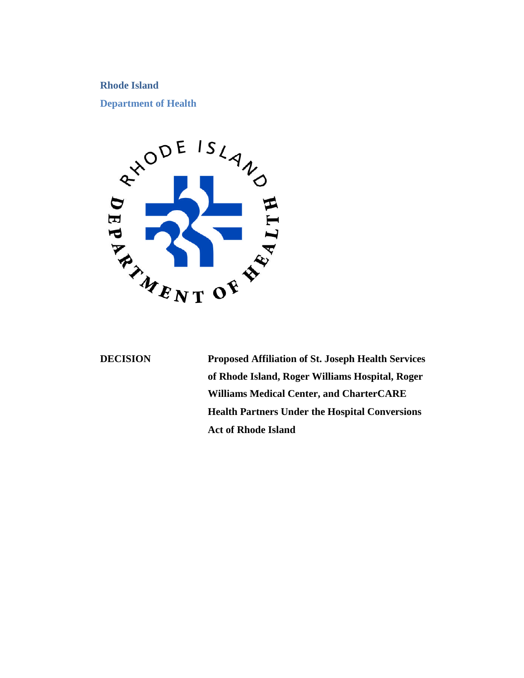# **Rhode Island**



**DECISION Proposed Affiliation of St. Joseph Health Services of Rhode Island, Roger Williams Hospital, Roger Williams Medical Center, and CharterCARE Health Partners Under the Hospital Conversions Act of Rhode Island**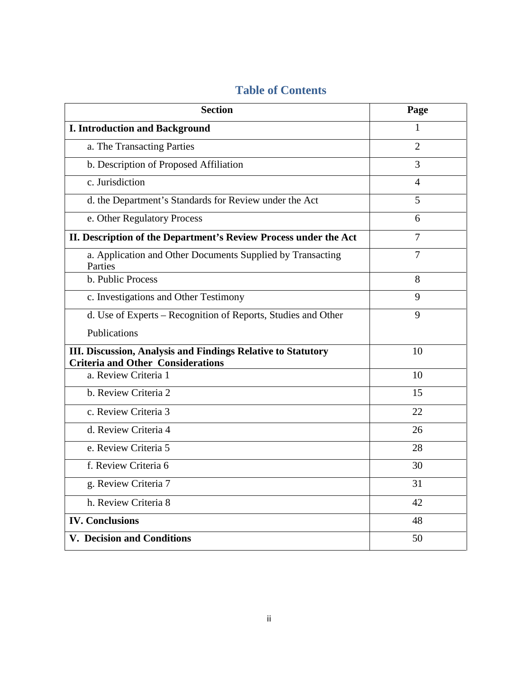| <b>Section</b>                                                                                           | Page           |
|----------------------------------------------------------------------------------------------------------|----------------|
| <b>I. Introduction and Background</b>                                                                    | 1              |
| a. The Transacting Parties                                                                               | $\overline{2}$ |
| b. Description of Proposed Affiliation                                                                   | 3              |
| c. Jurisdiction                                                                                          | 4              |
| d. the Department's Standards for Review under the Act                                                   | 5              |
| e. Other Regulatory Process                                                                              | 6              |
| II. Description of the Department's Review Process under the Act                                         | $\overline{7}$ |
| a. Application and Other Documents Supplied by Transacting<br>Parties                                    | 7              |
| b. Public Process                                                                                        | 8              |
| c. Investigations and Other Testimony                                                                    | $\mathbf Q$    |
| d. Use of Experts – Recognition of Reports, Studies and Other                                            | 9              |
| <b>Publications</b>                                                                                      |                |
| III. Discussion, Analysis and Findings Relative to Statutory<br><b>Criteria and Other Considerations</b> | 10             |
| a. Review Criteria 1                                                                                     | 10             |
| b. Review Criteria 2                                                                                     | 15             |
| c. Review Criteria 3                                                                                     | 22             |
| d. Review Criteria 4                                                                                     | 26             |
| e. Review Criteria 5                                                                                     | 28             |
| f. Review Criteria 6                                                                                     | 30             |
| g. Review Criteria 7                                                                                     | 31             |
| h. Review Criteria 8                                                                                     | 42             |
| <b>IV. Conclusions</b>                                                                                   | 48             |
| V. Decision and Conditions                                                                               | 50             |

# **Table of Contents**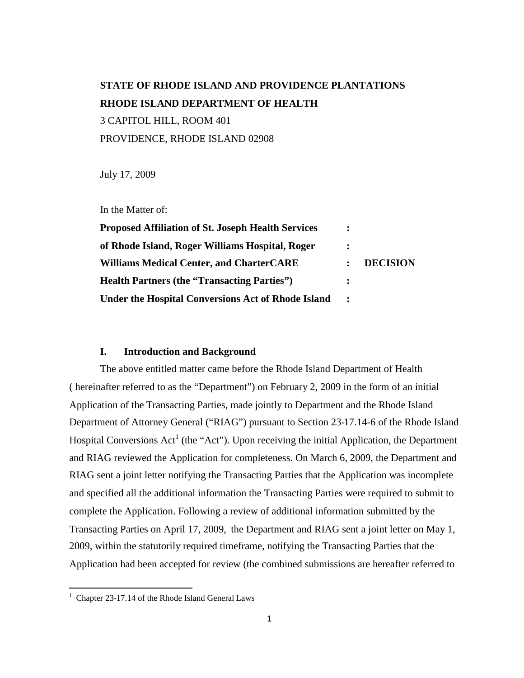# **STATE OF RHODE ISLAND AND PROVIDENCE PLANTATIONS RHODE ISLAND DEPARTMENT OF HEALTH** 3 CAPITOL HILL, ROOM 401 PROVIDENCE, RHODE ISLAND 02908

July 17, 2009

In the Matter of:

| <b>Proposed Affiliation of St. Joseph Health Services</b> | $\ddot{\cdot}$ | <b>DECISION</b> |
|-----------------------------------------------------------|----------------|-----------------|
| of Rhode Island, Roger Williams Hospital, Roger           |                |                 |
| <b>Williams Medical Center, and CharterCARE</b>           | $\ddot{\cdot}$ |                 |
| <b>Health Partners (the "Transacting Parties")</b>        | $\ddot{\cdot}$ |                 |
| <b>Under the Hospital Conversions Act of Rhode Island</b> |                |                 |

### **I. Introduction and Background**

The above entitled matter came before the Rhode Island Department of Health ( hereinafter referred to as the "Department") on February 2, 2009 in the form of an initial Application of the Transacting Parties, made jointly to Department and the Rhode Island Department of Attorney General ("RIAG") pursuant to Section 23-17.14-6 of the Rhode Island HospitalConversions Ac[t](#page-2-0)<sup>1</sup> (the "Act"). Upon receiving the initial Application, the Department and RIAG reviewed the Application for completeness. On March 6, 2009, the Department and RIAG sent a joint letter notifying the Transacting Parties that the Application was incomplete and specified all the additional information the Transacting Parties were required to submit to complete the Application. Following a review of additional information submitted by the Transacting Parties on April 17, 2009, the Department and RIAG sent a joint letter on May 1, 2009, within the statutorily required timeframe, notifying the Transacting Parties that the Application had been accepted for review (the combined submissions are hereafter referred to

<span id="page-2-0"></span> $1$  Chapter 23-17.14 of the Rhode Island General Laws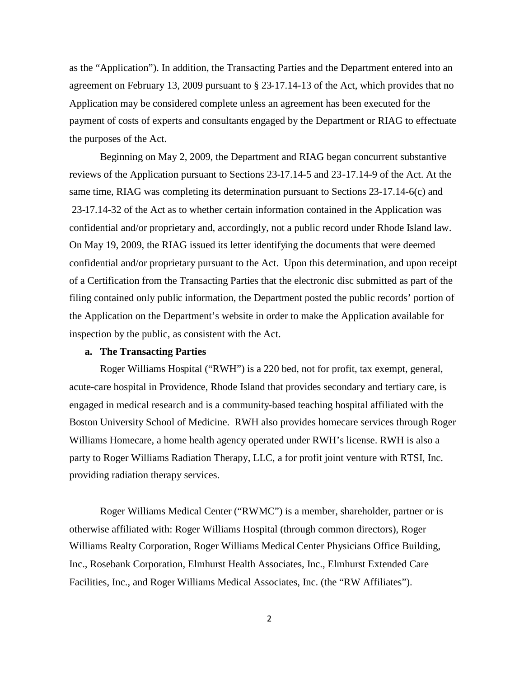as the "Application"). In addition, the Transacting Parties and the Department entered into an agreement on February 13, 2009 pursuant to § 23-17.14-13 of the Act, which provides that no Application may be considered complete unless an agreement has been executed for the payment of costs of experts and consultants engaged by the Department or RIAG to effectuate the purposes of the Act.

Beginning on May 2, 2009, the Department and RIAG began concurrent substantive reviews of the Application pursuant to Sections 23-17.14-5 and 23-17.14-9 of the Act. At the same time, RIAG was completing its determination pursuant to Sections 23-17.14-6(c) and 23-17.14-32 of the Act as to whether certain information contained in the Application was confidential and/or proprietary and, accordingly, not a public record under Rhode Island law. On May 19, 2009, the RIAG issued its letter identifying the documents that were deemed confidential and/or proprietary pursuant to the Act. Upon this determination, and upon receipt of a Certification from the Transacting Parties that the electronic disc submitted as part of the filing contained only public information, the Department posted the public records' portion of the Application on the Department's website in order to make the Application available for inspection by the public, as consistent with the Act.

### **a. The Transacting Parties**

Roger Williams Hospital ("RWH") is a 220 bed, not for profit, tax exempt, general, acute-care hospital in Providence, Rhode Island that provides secondary and tertiary care, is engaged in medical research and is a community-based teaching hospital affiliated with the Boston University School of Medicine. RWH also provides homecare services through Roger Williams Homecare, a home health agency operated under RWH's license. RWH is also a party to Roger Williams Radiation Therapy, LLC, a for profit joint venture with RTSI, Inc. providing radiation therapy services.

Roger Williams Medical Center ("RWMC") is a member, shareholder, partner or is otherwise affiliated with: Roger Williams Hospital (through common directors), Roger Williams Realty Corporation, Roger Williams Medical Center Physicians Office Building, Inc., Rosebank Corporation, Elmhurst Health Associates, Inc., Elmhurst Extended Care Facilities, Inc., and Roger Williams Medical Associates, Inc. (the "RW Affiliates").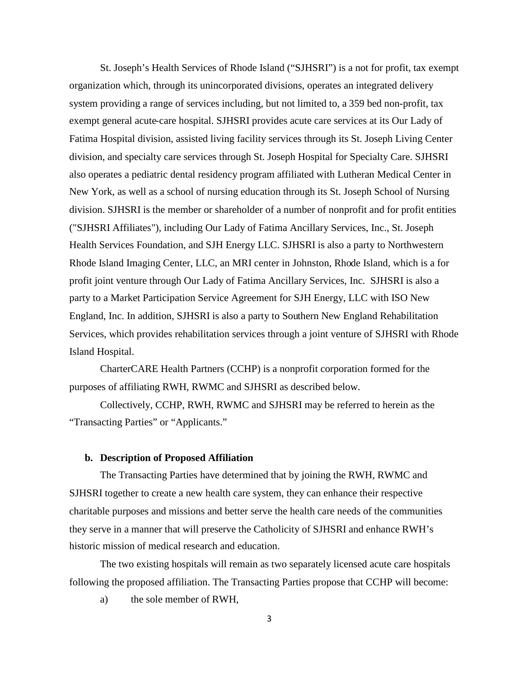St. Joseph's Health Services of Rhode Island ("SJHSRI") is a not for profit, tax exempt organization which, through its unincorporated divisions, operates an integrated delivery system providing a range of services including, but not limited to, a 359 bed non-profit, tax exempt general acute-care hospital. SJHSRI provides acute care services at its Our Lady of Fatima Hospital division, assisted living facility services through its St. Joseph Living Center division, and specialty care services through St. Joseph Hospital for Specialty Care. SJHSRI also operates a pediatric dental residency program affiliated with Lutheran Medical Center in New York, as well as a school of nursing education through its St. Joseph School of Nursing division. SJHSRI is the member or shareholder of a number of nonprofit and for profit entities ("SJHSRI Affiliates"), including Our Lady of Fatima Ancillary Services, Inc., St. Joseph Health Services Foundation, and SJH Energy LLC. SJHSRI is also a party to Northwestern Rhode Island Imaging Center, LLC, an MRI center in Johnston, Rhode Island, which is a for profit joint venture through Our Lady of Fatima Ancillary Services, Inc. SJHSRI is also a party to a Market Participation Service Agreement for SJH Energy, LLC with ISO New England, Inc. In addition, SJHSRI is also a party to Southern New England Rehabilitation Services, which provides rehabilitation services through a joint venture of SJHSRI with Rhode Island Hospital.

CharterCARE Health Partners (CCHP) is a nonprofit corporation formed for the purposes of affiliating RWH, RWMC and SJHSRI as described below.

Collectively, CCHP, RWH, RWMC and SJHSRI may be referred to herein as the "Transacting Parties" or "Applicants."

# **b. Description of Proposed Affiliation**

The Transacting Parties have determined that by joining the RWH, RWMC and SJHSRI together to create a new health care system, they can enhance their respective charitable purposes and missions and better serve the health care needs of the communities they serve in a manner that will preserve the Catholicity of SJHSRI and enhance RWH's historic mission of medical research and education.

The two existing hospitals will remain as two separately licensed acute care hospitals following the proposed affiliation. The Transacting Parties propose that CCHP will become:

a) the sole member of RWH,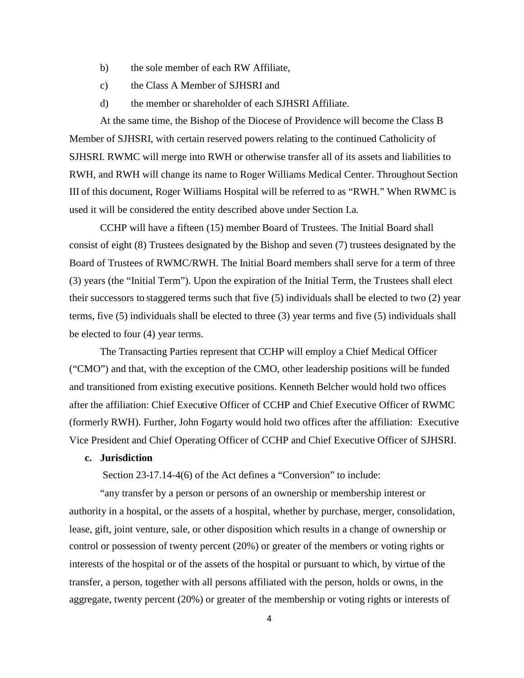- b) the sole member of each RW Affiliate,
- c) the Class A Member of SJHSRI and
- d) the member or shareholder of each SJHSRI Affiliate.

At the same time, the Bishop of the Diocese of Providence will become the Class B Member of SJHSRI, with certain reserved powers relating to the continued Catholicity of SJHSRI. RWMC will merge into RWH or otherwise transfer all of its assets and liabilities to RWH, and RWH will change its name to Roger Williams Medical Center. Throughout Section III of this document, Roger Williams Hospital will be referred to as "RWH." When RWMC is used it will be considered the entity described above under Section I.a.

CCHP will have a fifteen (15) member Board of Trustees. The Initial Board shall consist of eight (8) Trustees designated by the Bishop and seven (7) trustees designated by the Board of Trustees of RWMC/RWH. The Initial Board members shall serve for a term of three (3) years (the "Initial Term"). Upon the expiration of the Initial Term, the Trustees shall elect their successors to staggered terms such that five (5) individuals shall be elected to two (2) year terms, five (5) individuals shall be elected to three (3) year terms and five (5) individuals shall be elected to four (4) year terms.

The Transacting Parties represent that CCHP will employ a Chief Medical Officer ("CMO") and that, with the exception of the CMO, other leadership positions will be funded and transitioned from existing executive positions. Kenneth Belcher would hold two offices after the affiliation: Chief Executive Officer of CCHP and Chief Executive Officer of RWMC (formerly RWH). Further, John Fogarty would hold two offices after the affiliation: Executive Vice President and Chief Operating Officer of CCHP and Chief Executive Officer of SJHSRI.

# **c. Jurisdiction**

Section 23-17.14-4(6) of the Act defines a "Conversion" to include:

"any transfer by a person or persons of an ownership or membership interest or authority in a hospital, or the assets of a hospital, whether by purchase, merger, consolidation, lease, gift, joint venture, sale, or other disposition which results in a change of ownership or control or possession of twenty percent (20%) or greater of the members or voting rights or interests of the hospital or of the assets of the hospital or pursuant to which, by virtue of the transfer, a person, together with all persons affiliated with the person, holds or owns, in the aggregate, twenty percent (20%) or greater of the membership or voting rights or interests of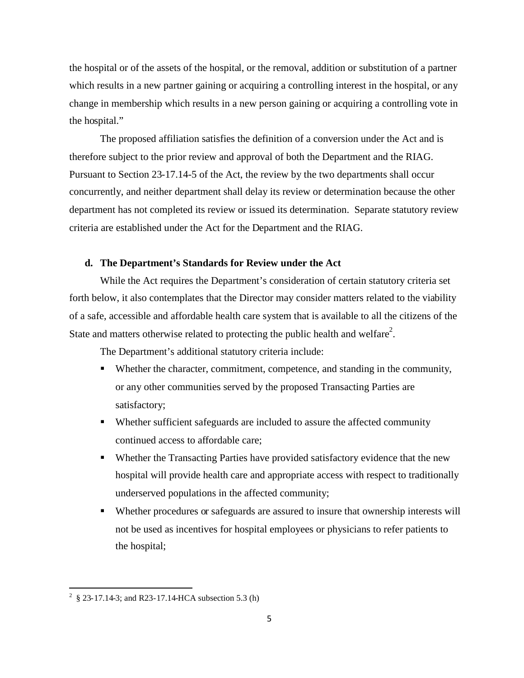the hospital or of the assets of the hospital, or the removal, addition or substitution of a partner which results in a new partner gaining or acquiring a controlling interest in the hospital, or any change in membership which results in a new person gaining or acquiring a controlling vote in the hospital."

The proposed affiliation satisfies the definition of a conversion under the Act and is therefore subject to the prior review and approval of both the Department and the RIAG. Pursuant to Section 23-17.14-5 of the Act, the review by the two departments shall occur concurrently, and neither department shall delay its review or determination because the other department has not completed its review or issued its determination. Separate statutory review criteria are established under the Act for the Department and the RIAG.

### **d. The Department's Standards for Review under the Act**

While the Act requires the Department's consideration of certain statutory criteria set forth below, it also contemplates that the Director may consider matters related to the viability of a safe, accessible and affordable health care system that is available to all the citizens of the State and matters otherwise related to protecting the public health and welfare<sup>2</sup>[.](#page-6-0)

The Department's additional statutory criteria include:

- Whether the character, commitment, competence, and standing in the community, or any other communities served by the proposed Transacting Parties are satisfactory;
- Whether sufficient safeguards are included to assure the affected community continued access to affordable care;
- Whether the Transacting Parties have provided satisfactory evidence that the new hospital will provide health care and appropriate access with respect to traditionally underserved populations in the affected community;
- Whether procedures or safeguards are assured to insure that ownership interests will not be used as incentives for hospital employees or physicians to refer patients to the hospital;

<span id="page-6-0"></span><sup>&</sup>lt;sup>2</sup> § 23-17.14-3; and R23-17.14-HCA subsection 5.3 (h)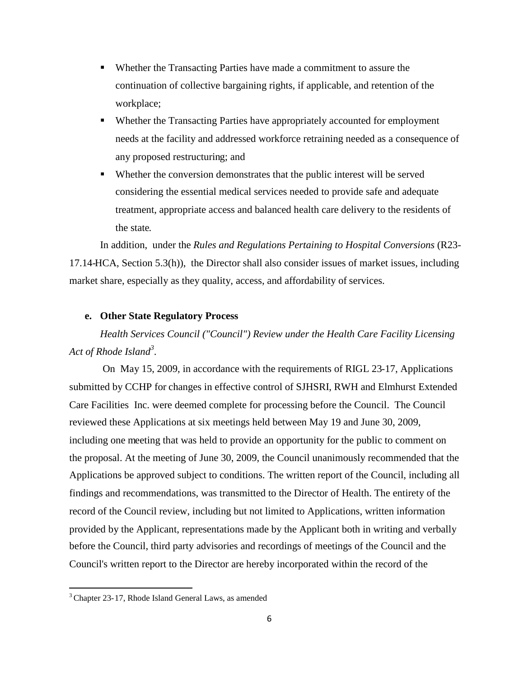- Whether the Transacting Parties have made a commitment to assure the continuation of collective bargaining rights, if applicable, and retention of the workplace;
- Whether the Transacting Parties have appropriately accounted for employment needs at the facility and addressed workforce retraining needed as a consequence of any proposed restructuring; and
- Whether the conversion demonstrates that the public interest will be served considering the essential medical services needed to provide safe and adequate treatment, appropriate access and balanced health care delivery to the residents of the state.

In addition, under the *Rules and Regulations Pertaining to Hospital Conversions* (R23- 17.14-HCA, Section 5.3(h)), the Director shall also consider issues of market issues, including market share, especially as they quality, access, and affordability of services.

# **e. Other State Regulatory Process**

*Health Services Council ("Council") Review under the Health Care Facility Licensing Act of Rhode Island<sup>3</sup>* [.](#page-7-0)

On May 15, 2009, in accordance with the requirements of RIGL 23-17, Applications submitted by CCHP for changes in effective control of SJHSRI, RWH and Elmhurst Extended Care Facilities Inc. were deemed complete for processing before the Council. The Council reviewed these Applications at six meetings held between May 19 and June 30, 2009, including one meeting that was held to provide an opportunity for the public to comment on the proposal. At the meeting of June 30, 2009, the Council unanimously recommended that the Applications be approved subject to conditions. The written report of the Council, including all findings and recommendations, was transmitted to the Director of Health. The entirety of the record of the Council review, including but not limited to Applications, written information provided by the Applicant, representations made by the Applicant both in writing and verbally before the Council, third party advisories and recordings of meetings of the Council and the Council's written report to the Director are hereby incorporated within the record of the

<span id="page-7-0"></span><sup>3</sup> Chapter 23-17, Rhode Island General Laws, as amended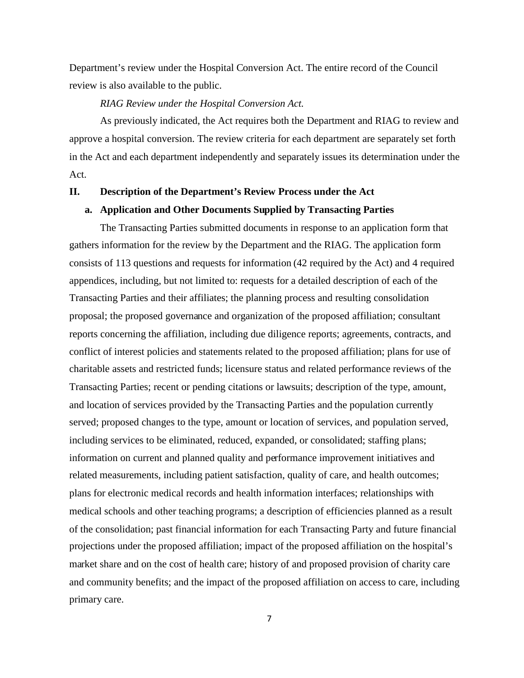Department's review under the Hospital Conversion Act. The entire record of the Council review is also available to the public.

# *RIAG Review under the Hospital Conversion Act*.

As previously indicated, the Act requires both the Department and RIAG to review and approve a hospital conversion. The review criteria for each department are separately set forth in the Act and each department independently and separately issues its determination under the Act.

### **II. Description of the Department's Review Process under the Act**

# **a. Application and Other Documents Supplied by Transacting Parties**

The Transacting Parties submitted documents in response to an application form that gathers information for the review by the Department and the RIAG. The application form consists of 113 questions and requests for information (42 required by the Act) and 4 required appendices, including, but not limited to: requests for a detailed description of each of the Transacting Parties and their affiliates; the planning process and resulting consolidation proposal; the proposed governance and organization of the proposed affiliation; consultant reports concerning the affiliation, including due diligence reports; agreements, contracts, and conflict of interest policies and statements related to the proposed affiliation; plans for use of charitable assets and restricted funds; licensure status and related performance reviews of the Transacting Parties; recent or pending citations or lawsuits; description of the type, amount, and location of services provided by the Transacting Parties and the population currently served; proposed changes to the type, amount or location of services, and population served, including services to be eliminated, reduced, expanded, or consolidated; staffing plans; information on current and planned quality and performance improvement initiatives and related measurements, including patient satisfaction, quality of care, and health outcomes; plans for electronic medical records and health information interfaces; relationships with medical schools and other teaching programs; a description of efficiencies planned as a result of the consolidation; past financial information for each Transacting Party and future financial projections under the proposed affiliation; impact of the proposed affiliation on the hospital's market share and on the cost of health care; history of and proposed provision of charity care and community benefits; and the impact of the proposed affiliation on access to care, including primary care.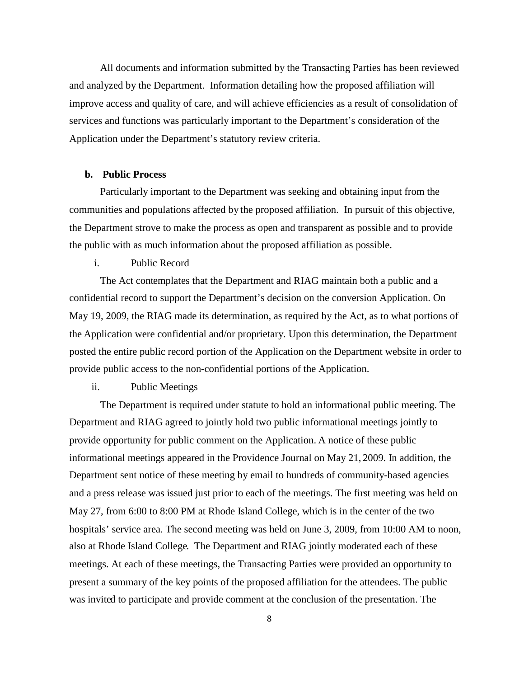All documents and information submitted by the Transacting Parties has been reviewed and analyzed by the Department. Information detailing how the proposed affiliation will improve access and quality of care, and will achieve efficiencies as a result of consolidation of services and functions was particularly important to the Department's consideration of the Application under the Department's statutory review criteria.

### **b. Public Process**

Particularly important to the Department was seeking and obtaining input from the communities and populations affected by the proposed affiliation. In pursuit of this objective, the Department strove to make the process as open and transparent as possible and to provide the public with as much information about the proposed affiliation as possible.

### i. Public Record

The Act contemplates that the Department and RIAG maintain both a public and a confidential record to support the Department's decision on the conversion Application. On May 19, 2009, the RIAG made its determination, as required by the Act, as to what portions of the Application were confidential and/or proprietary. Upon this determination, the Department posted the entire public record portion of the Application on the Department website in order to provide public access to the non-confidential portions of the Application.

# ii. Public Meetings

The Department is required under statute to hold an informational public meeting. The Department and RIAG agreed to jointly hold two public informational meetings jointly to provide opportunity for public comment on the Application. A notice of these public informational meetings appeared in the Providence Journal on May 21, 2009. In addition, the Department sent notice of these meeting by email to hundreds of community-based agencies and a press release was issued just prior to each of the meetings. The first meeting was held on May 27, from 6:00 to 8:00 PM at Rhode Island College, which is in the center of the two hospitals' service area. The second meeting was held on June 3, 2009, from 10:00 AM to noon, also at Rhode Island College. The Department and RIAG jointly moderated each of these meetings. At each of these meetings, the Transacting Parties were provided an opportunity to present a summary of the key points of the proposed affiliation for the attendees. The public was invited to participate and provide comment at the conclusion of the presentation. The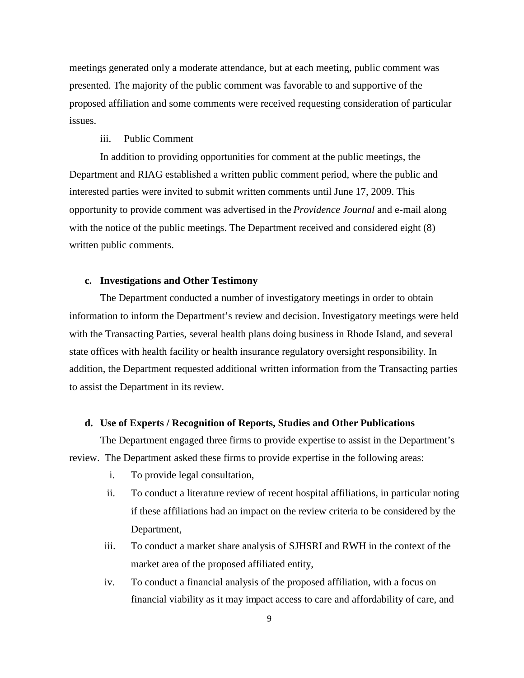meetings generated only a moderate attendance, but at each meeting, public comment was presented. The majority of the public comment was favorable to and supportive of the proposed affiliation and some comments were received requesting consideration of particular issues.

# iii. Public Comment

In addition to providing opportunities for comment at the public meetings, the Department and RIAG established a written public comment period, where the public and interested parties were invited to submit written comments until June 17, 2009. This opportunity to provide comment was advertised in the *Providence Journal* and e-mail along with the notice of the public meetings. The Department received and considered eight  $(8)$ written public comments.

## **c. Investigations and Other Testimony**

The Department conducted a number of investigatory meetings in order to obtain information to inform the Department's review and decision. Investigatory meetings were held with the Transacting Parties, several health plans doing business in Rhode Island, and several state offices with health facility or health insurance regulatory oversight responsibility. In addition, the Department requested additional written information from the Transacting parties to assist the Department in its review.

### **d. Use of Experts / Recognition of Reports, Studies and Other Publications**

The Department engaged three firms to provide expertise to assist in the Department's review. The Department asked these firms to provide expertise in the following areas:

- i. To provide legal consultation,
- ii. To conduct a literature review of recent hospital affiliations, in particular noting if these affiliations had an impact on the review criteria to be considered by the Department,
- iii. To conduct a market share analysis of SJHSRI and RWH in the context of the market area of the proposed affiliated entity,
- iv. To conduct a financial analysis of the proposed affiliation, with a focus on financial viability as it may impact access to care and affordability of care, and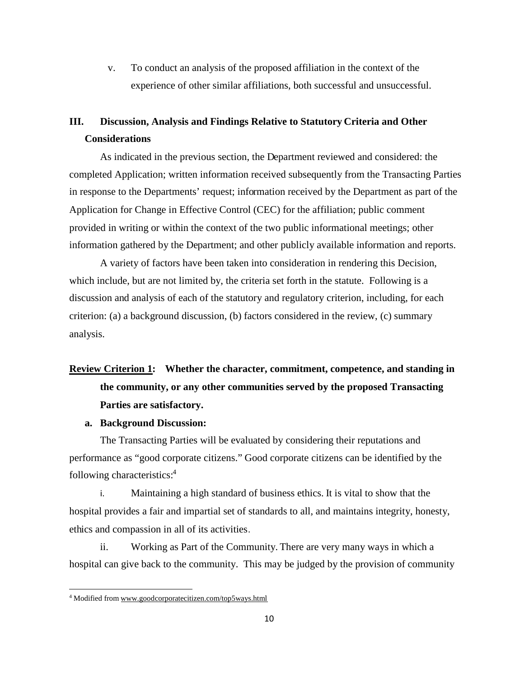v. To conduct an analysis of the proposed affiliation in the context of the experience of other similar affiliations, both successful and unsuccessful.

# **III. Discussion, Analysis and Findings Relative to Statutory Criteria and Other Considerations**

As indicated in the previous section, the Department reviewed and considered: the completed Application; written information received subsequently from the Transacting Parties in response to the Departments' request; information received by the Department as part of the Application for Change in Effective Control (CEC) for the affiliation; public comment provided in writing or within the context of the two public informational meetings; other information gathered by the Department; and other publicly available information and reports.

A variety of factors have been taken into consideration in rendering this Decision, which include, but are not limited by, the criteria set forth in the statute. Following is a discussion and analysis of each of the statutory and regulatory criterion, including, for each criterion: (a) a background discussion, (b) factors considered in the review, (c) summary analysis.

# **Review Criterion 1: Whether the character, commitment, competence, and standing in the community, or any other communities served by the proposed Transacting Parties are satisfactory.**

# **a. Background Discussion:**

The Transacting Parties will be evaluated by considering their reputations and performance as "good corporate citizens." Good corporate citizens can be identified by the following characteristics:[4](#page-11-0)

i. Maintaining a high standard of business ethics. It is vital to show that the hospital provides a fair and impartial set of standards to all, and maintains integrity, honesty, ethics and compassion in all of its activities.

ii. Working as Part of the Community. There are very many ways in which a hospital can give back to the community. This may be judged by the provision of community

<span id="page-11-0"></span><sup>4</sup> Modified from www.goodcorporatecitizen.com/top5ways.html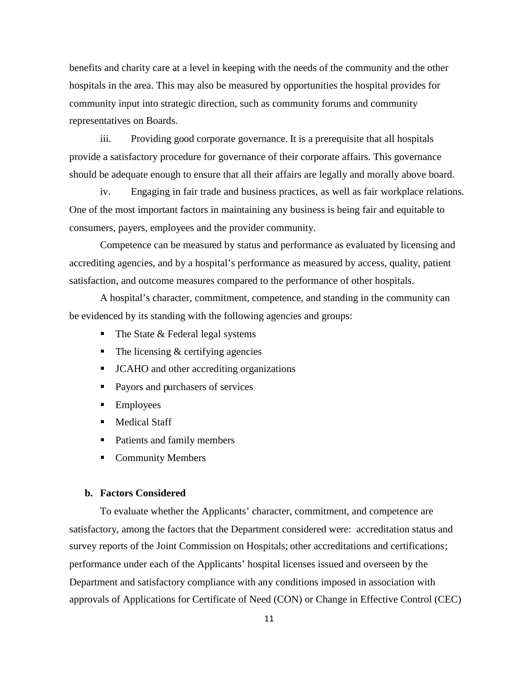benefits and charity care at a level in keeping with the needs of the community and the other hospitals in the area. This may also be measured by opportunities the hospital provides for community input into strategic direction, such as community forums and community representatives on Boards.

iii. Providing good corporate governance. It is a prerequisite that all hospitals provide a satisfactory procedure for governance of their corporate affairs. This governance should be adequate enough to ensure that all their affairs are legally and morally above board.

iv. Engaging in fair trade and business practices, as well as fair workplace relations. One of the most important factors in maintaining any business is being fair and equitable to consumers, payers, employees and the provider community.

Competence can be measured by status and performance as evaluated by licensing and accrediting agencies, and by a hospital's performance as measured by access, quality, patient satisfaction, and outcome measures compared to the performance of other hospitals.

A hospital's character, commitment, competence, and standing in the community can be evidenced by its standing with the following agencies and groups:

- $\blacksquare$  The State & Federal legal systems
- $\blacksquare$  The licensing & certifying agencies
- JCAHO and other accrediting organizations
- Payors and purchasers of services
- **Employees**
- **Medical Staff**
- Patients and family members
- **Community Members**

#### **b. Factors Considered**

To evaluate whether the Applicants' character, commitment, and competence are satisfactory, among the factors that the Department considered were: accreditation status and survey reports of the Joint Commission on Hospitals; other accreditations and certifications; performance under each of the Applicants' hospital licenses issued and overseen by the Department and satisfactory compliance with any conditions imposed in association with approvals of Applications for Certificate of Need (CON) or Change in Effective Control (CEC)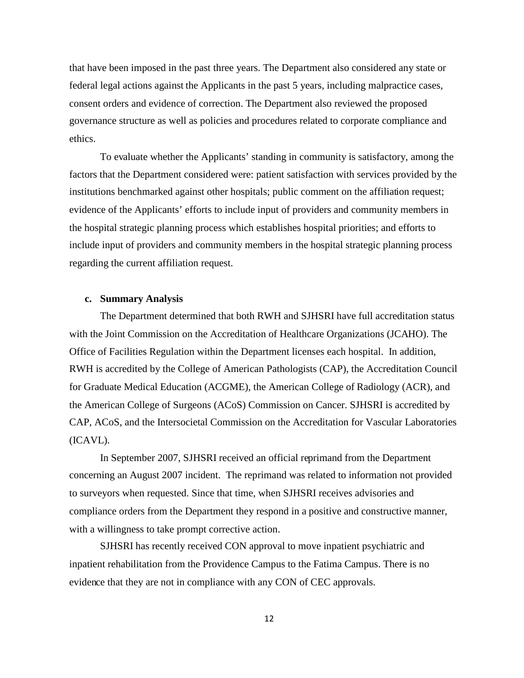that have been imposed in the past three years. The Department also considered any state or federal legal actions against the Applicants in the past 5 years, including malpractice cases, consent orders and evidence of correction. The Department also reviewed the proposed governance structure as well as policies and procedures related to corporate compliance and ethics.

To evaluate whether the Applicants' standing in community is satisfactory, among the factors that the Department considered were: patient satisfaction with services provided by the institutions benchmarked against other hospitals; public comment on the affiliation request; evidence of the Applicants' efforts to include input of providers and community members in the hospital strategic planning process which establishes hospital priorities; and efforts to include input of providers and community members in the hospital strategic planning process regarding the current affiliation request.

### **c. Summary Analysis**

The Department determined that both RWH and SJHSRI have full accreditation status with the Joint Commission on the Accreditation of Healthcare Organizations (JCAHO). The Office of Facilities Regulation within the Department licenses each hospital. In addition, RWH is accredited by the College of American Pathologists (CAP), the Accreditation Council for Graduate Medical Education (ACGME), the American College of Radiology (ACR), and the American College of Surgeons (ACoS) Commission on Cancer. SJHSRI is accredited by CAP, ACoS, and the Intersocietal Commission on the Accreditation for Vascular Laboratories (ICAVL).

In September 2007, SJHSRI received an official reprimand from the Department concerning an August 2007 incident. The reprimand was related to information not provided to surveyors when requested. Since that time, when SJHSRI receives advisories and compliance orders from the Department they respond in a positive and constructive manner, with a willingness to take prompt corrective action.

SJHSRI has recently received CON approval to move inpatient psychiatric and inpatient rehabilitation from the Providence Campus to the Fatima Campus. There is no evidence that they are not in compliance with any CON of CEC approvals.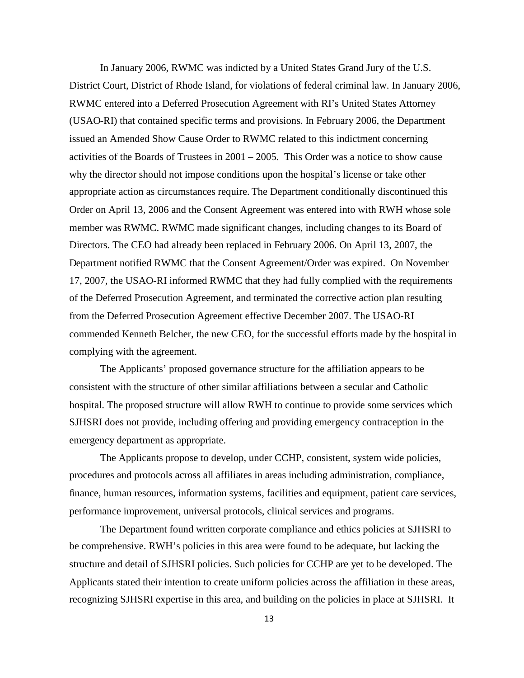In January 2006, RWMC was indicted by a United States Grand Jury of the U.S. District Court, District of Rhode Island, for violations of federal criminal law. In January 2006, RWMC entered into a Deferred Prosecution Agreement with RI's United States Attorney (USAO-RI) that contained specific terms and provisions. In February 2006, the Department issued an Amended Show Cause Order to RWMC related to this indictment concerning activities of the Boards of Trustees in 2001 – 2005. This Order was a notice to show cause why the director should not impose conditions upon the hospital's license or take other appropriate action as circumstances require. The Department conditionally discontinued this Order on April 13, 2006 and the Consent Agreement was entered into with RWH whose sole member was RWMC. RWMC made significant changes, including changes to its Board of Directors. The CEO had already been replaced in February 2006. On April 13, 2007, the Department notified RWMC that the Consent Agreement/Order was expired. On November 17, 2007, the USAO-RI informed RWMC that they had fully complied with the requirements of the Deferred Prosecution Agreement, and terminated the corrective action plan resulting from the Deferred Prosecution Agreement effective December 2007. The USAO-RI commended Kenneth Belcher, the new CEO, for the successful efforts made by the hospital in complying with the agreement.

The Applicants' proposed governance structure for the affiliation appears to be consistent with the structure of other similar affiliations between a secular and Catholic hospital. The proposed structure will allow RWH to continue to provide some services which SJHSRI does not provide, including offering and providing emergency contraception in the emergency department as appropriate.

The Applicants propose to develop, under CCHP, consistent, system wide policies, procedures and protocols across all affiliates in areas including administration, compliance, finance, human resources, information systems, facilities and equipment, patient care services, performance improvement, universal protocols, clinical services and programs.

The Department found written corporate compliance and ethics policies at SJHSRI to be comprehensive. RWH's policies in this area were found to be adequate, but lacking the structure and detail of SJHSRI policies. Such policies for CCHP are yet to be developed. The Applicants stated their intention to create uniform policies across the affiliation in these areas, recognizing SJHSRI expertise in this area, and building on the policies in place at SJHSRI. It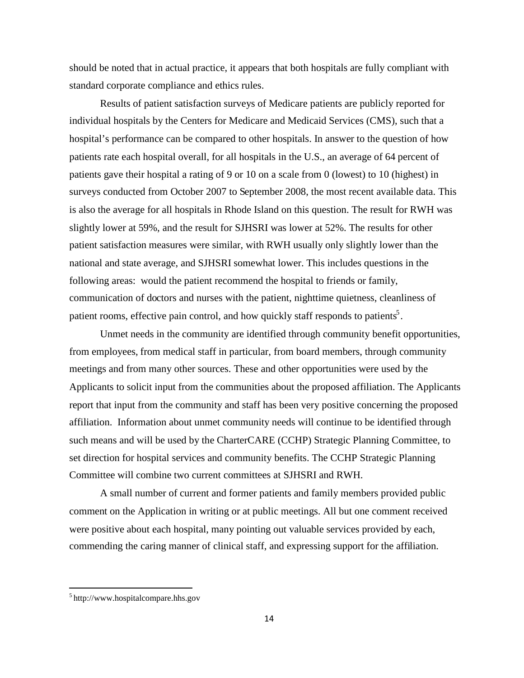should be noted that in actual practice, it appears that both hospitals are fully compliant with standard corporate compliance and ethics rules.

Results of patient satisfaction surveys of Medicare patients are publicly reported for individual hospitals by the Centers for Medicare and Medicaid Services (CMS), such that a hospital's performance can be compared to other hospitals. In answer to the question of how patients rate each hospital overall, for all hospitals in the U.S., an average of 64 percent of patients gave their hospital a rating of 9 or 10 on a scale from 0 (lowest) to 10 (highest) in surveys conducted from October 2007 to September 2008, the most recent available data. This is also the average for all hospitals in Rhode Island on this question. The result for RWH was slightly lower at 59%, and the result for SJHSRI was lower at 52%. The results for other patient satisfaction measures were similar, with RWH usually only slightly lower than the national and state average, and SJHSRI somewhat lower. This includes questions in the following areas: would the patient recommend the hospital to friends or family, communication of doctors and nurses with the patient, nighttime quietness, cleanliness of patient rooms, effective pain control, and how quickly staff responds to patients<sup>5</sup>[.](#page-15-0)

Unmet needs in the community are identified through community benefit opportunities, from employees, from medical staff in particular, from board members, through community meetings and from many other sources. These and other opportunities were used by the Applicants to solicit input from the communities about the proposed affiliation. The Applicants report that input from the community and staff has been very positive concerning the proposed affiliation. Information about unmet community needs will continue to be identified through such means and will be used by the CharterCARE (CCHP) Strategic Planning Committee, to set direction for hospital services and community benefits. The CCHP Strategic Planning Committee will combine two current committees at SJHSRI and RWH.

A small number of current and former patients and family members provided public comment on the Application in writing or at public meetings. All but one comment received were positive about each hospital, many pointing out valuable services provided by each, commending the caring manner of clinical staff, and expressing support for the affiliation.

<span id="page-15-0"></span><sup>5</sup> http://www.hospitalcompare.hhs.gov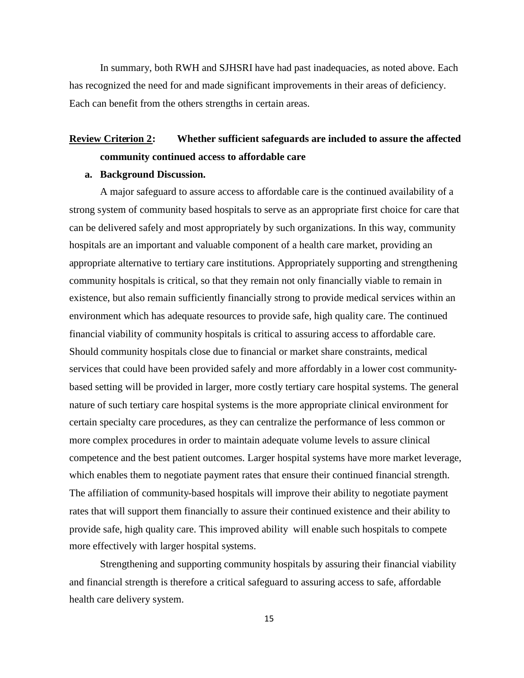In summary, both RWH and SJHSRI have had past inadequacies, as noted above. Each has recognized the need for and made significant improvements in their areas of deficiency. Each can benefit from the others strengths in certain areas.

# **Review Criterion 2: Whether sufficient safeguards are included to assure the affected community continued access to affordable care**

### **a. Background Discussion.**

A major safeguard to assure access to affordable care is the continued availability of a strong system of community based hospitals to serve as an appropriate first choice for care that can be delivered safely and most appropriately by such organizations. In this way, community hospitals are an important and valuable component of a health care market, providing an appropriate alternative to tertiary care institutions. Appropriately supporting and strengthening community hospitals is critical, so that they remain not only financially viable to remain in existence, but also remain sufficiently financially strong to provide medical services within an environment which has adequate resources to provide safe, high quality care. The continued financial viability of community hospitals is critical to assuring access to affordable care. Should community hospitals close due to financial or market share constraints, medical services that could have been provided safely and more affordably in a lower cost communitybased setting will be provided in larger, more costly tertiary care hospital systems. The general nature of such tertiary care hospital systems is the more appropriate clinical environment for certain specialty care procedures, as they can centralize the performance of less common or more complex procedures in order to maintain adequate volume levels to assure clinical competence and the best patient outcomes. Larger hospital systems have more market leverage, which enables them to negotiate payment rates that ensure their continued financial strength. The affiliation of community-based hospitals will improve their ability to negotiate payment rates that will support them financially to assure their continued existence and their ability to provide safe, high quality care. This improved ability will enable such hospitals to compete more effectively with larger hospital systems.

Strengthening and supporting community hospitals by assuring their financial viability and financial strength is therefore a critical safeguard to assuring access to safe, affordable health care delivery system.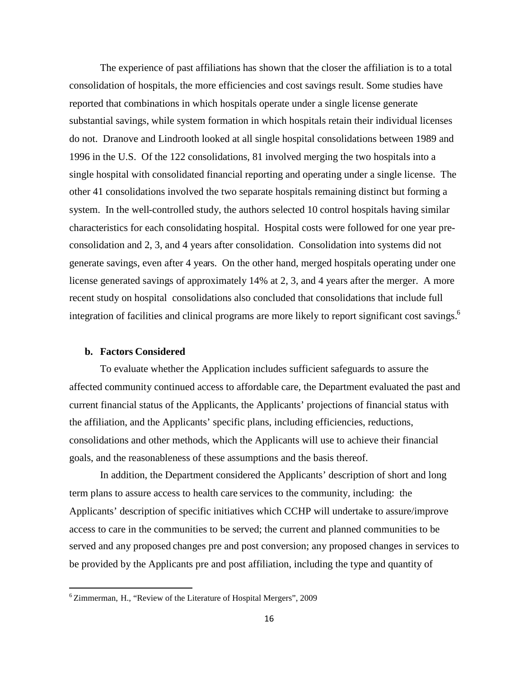The experience of past affiliations has shown that the closer the affiliation is to a total consolidation of hospitals, the more efficiencies and cost savings result. Some studies have reported that combinations in which hospitals operate under a single license generate substantial savings, while system formation in which hospitals retain their individual licenses do not. Dranove and Lindrooth looked at all single hospital consolidations between 1989 and 1996 in the U.S. Of the 122 consolidations, 81 involved merging the two hospitals into a single hospital with consolidated financial reporting and operating under a single license. The other 41 consolidations involved the two separate hospitals remaining distinct but forming a system. In the well-controlled study, the authors selected 10 control hospitals having similar characteristics for each consolidating hospital. Hospital costs were followed for one year preconsolidation and 2, 3, and 4 years after consolidation. Consolidation into systems did not generate savings, even after 4 years. On the other hand, merged hospitals operating under one license generated savings of approximately 14% at 2, 3, and 4 years after the merger. A more recent study on hospital consolidations also concluded that consolidations that include full integration of facilities and clinical programs are more likely to report significant cost savings.<sup>[6](#page-17-0)</sup>

### **b. Factors Considered**

To evaluate whether the Application includes sufficient safeguards to assure the affected community continued access to affordable care, the Department evaluated the past and current financial status of the Applicants, the Applicants' projections of financial status with the affiliation, and the Applicants' specific plans, including efficiencies, reductions, consolidations and other methods, which the Applicants will use to achieve their financial goals, and the reasonableness of these assumptions and the basis thereof.

In addition, the Department considered the Applicants' description of short and long term plans to assure access to health care services to the community, including: the Applicants' description of specific initiatives which CCHP will undertake to assure/improve access to care in the communities to be served; the current and planned communities to be served and any proposed changes pre and post conversion; any proposed changes in services to be provided by the Applicants pre and post affiliation, including the type and quantity of

<span id="page-17-0"></span><sup>6</sup> Zimmerman, H., "Review of the Literature of Hospital Mergers", 2009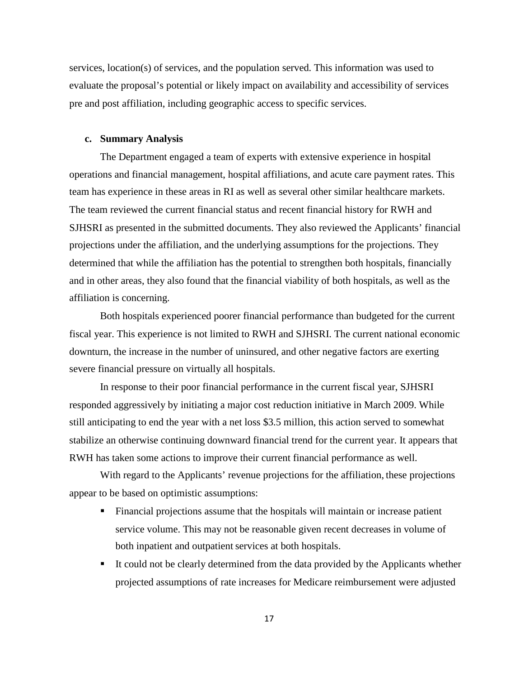services, location(s) of services, and the population served. This information was used to evaluate the proposal's potential or likely impact on availability and accessibility of services pre and post affiliation, including geographic access to specific services.

### **c. Summary Analysis**

The Department engaged a team of experts with extensive experience in hospital operations and financial management, hospital affiliations, and acute care payment rates. This team has experience in these areas in RI as well as several other similar healthcare markets. The team reviewed the current financial status and recent financial history for RWH and SJHSRI as presented in the submitted documents. They also reviewed the Applicants' financial projections under the affiliation, and the underlying assumptions for the projections. They determined that while the affiliation has the potential to strengthen both hospitals, financially and in other areas, they also found that the financial viability of both hospitals, as well as the affiliation is concerning.

Both hospitals experienced poorer financial performance than budgeted for the current fiscal year. This experience is not limited to RWH and SJHSRI. The current national economic downturn, the increase in the number of uninsured, and other negative factors are exerting severe financial pressure on virtually all hospitals.

In response to their poor financial performance in the current fiscal year, SJHSRI responded aggressively by initiating a major cost reduction initiative in March 2009. While still anticipating to end the year with a net loss \$3.5 million, this action served to somewhat stabilize an otherwise continuing downward financial trend for the current year. It appears that RWH has taken some actions to improve their current financial performance as well.

With regard to the Applicants' revenue projections for the affiliation, these projections appear to be based on optimistic assumptions:

- Financial projections assume that the hospitals will maintain or increase patient service volume. This may not be reasonable given recent decreases in volume of both inpatient and outpatient services at both hospitals.
- It could not be clearly determined from the data provided by the Applicants whether projected assumptions of rate increases for Medicare reimbursement were adjusted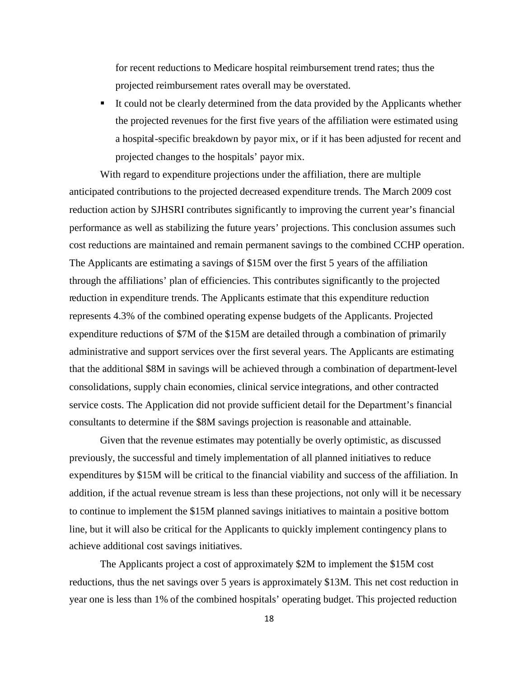for recent reductions to Medicare hospital reimbursement trend rates; thus the projected reimbursement rates overall may be overstated.

 It could not be clearly determined from the data provided by the Applicants whether the projected revenues for the first five years of the affiliation were estimated using a hospital-specific breakdown by payor mix, or if it has been adjusted for recent and projected changes to the hospitals' payor mix.

With regard to expenditure projections under the affiliation, there are multiple anticipated contributions to the projected decreased expenditure trends. The March 2009 cost reduction action by SJHSRI contributes significantly to improving the current year's financial performance as well as stabilizing the future years' projections. This conclusion assumes such cost reductions are maintained and remain permanent savings to the combined CCHP operation. The Applicants are estimating a savings of \$15M over the first 5 years of the affiliation through the affiliations' plan of efficiencies. This contributes significantly to the projected reduction in expenditure trends. The Applicants estimate that this expenditure reduction represents 4.3% of the combined operating expense budgets of the Applicants. Projected expenditure reductions of \$7M of the \$15M are detailed through a combination of primarily administrative and support services over the first several years. The Applicants are estimating that the additional \$8M in savings will be achieved through a combination of department-level consolidations, supply chain economies, clinical service integrations, and other contracted service costs. The Application did not provide sufficient detail for the Department's financial consultants to determine if the \$8M savings projection is reasonable and attainable.

Given that the revenue estimates may potentially be overly optimistic, as discussed previously, the successful and timely implementation of all planned initiatives to reduce expenditures by \$15M will be critical to the financial viability and success of the affiliation. In addition, if the actual revenue stream is less than these projections, not only will it be necessary to continue to implement the \$15M planned savings initiatives to maintain a positive bottom line, but it will also be critical for the Applicants to quickly implement contingency plans to achieve additional cost savings initiatives.

The Applicants project a cost of approximately \$2M to implement the \$15M cost reductions, thus the net savings over 5 years is approximately \$13M. This net cost reduction in year one is less than 1% of the combined hospitals' operating budget. This projected reduction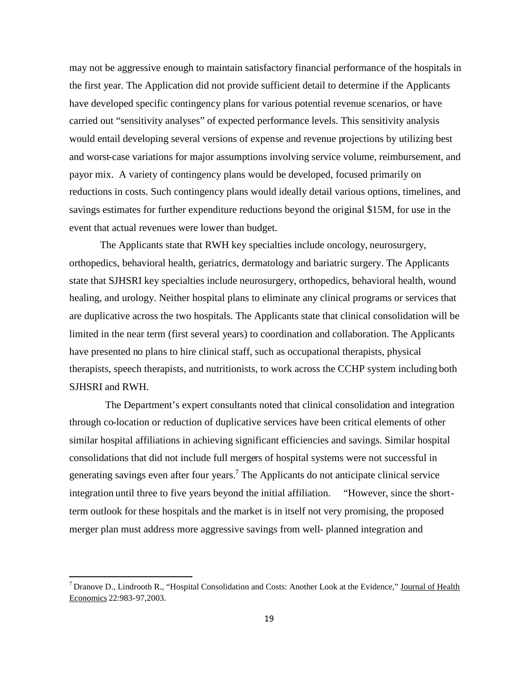may not be aggressive enough to maintain satisfactory financial performance of the hospitals in the first year. The Application did not provide sufficient detail to determine if the Applicants have developed specific contingency plans for various potential revenue scenarios, or have carried out "sensitivity analyses" of expected performance levels. This sensitivity analysis would entail developing several versions of expense and revenue projections by utilizing best and worst-case variations for major assumptions involving service volume, reimbursement, and payor mix. A variety of contingency plans would be developed, focused primarily on reductions in costs. Such contingency plans would ideally detail various options, timelines, and savings estimates for further expenditure reductions beyond the original \$15M, for use in the event that actual revenues were lower than budget.

The Applicants state that RWH key specialties include oncology, neurosurgery, orthopedics, behavioral health, geriatrics, dermatology and bariatric surgery. The Applicants state that SJHSRI key specialties include neurosurgery, orthopedics, behavioral health, wound healing, and urology. Neither hospital plans to eliminate any clinical programs or services that are duplicative across the two hospitals. The Applicants state that clinical consolidation will be limited in the near term (first several years) to coordination and collaboration. The Applicants have presented no plans to hire clinical staff, such as occupational therapists, physical therapists, speech therapists, and nutritionists, to work across the CCHP system including both SJHSRI and RWH.

The Department's expert consultants noted that clinical consolidation and integration through co-location or reduction of duplicative services have been critical elements of other similar hospital affiliations in achieving significant efficiencies and savings. Similar hospital consolidations that did not include full mergers of hospital systems were not successful in generatingsavings even after four years.<sup>7</sup> The Applicants do not anticipate clinical service integration until three to five years beyond the initial affiliation. "However, since the shortterm outlook for these hospitals and the market is in itself not very promising, the proposed merger plan must address more aggressive savings from well- planned integration and

<span id="page-20-0"></span><sup>&</sup>lt;sup>7</sup> Dranove D., Lindrooth R., "Hospital Consolidation and Costs: Another Look at the Evidence," Journal of Health Economics 22:983-97,2003.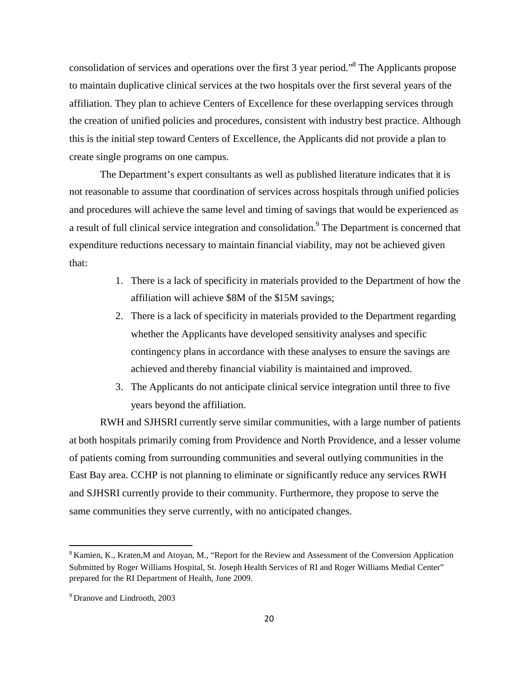consolidation of services and operations over the first 3 year period."[8](#page-21-0) The Applicants propose to maintain duplicative clinical services at the two hospitals over the first several years of the affiliation. They plan to achieve Centers of Excellence for these overlapping services through the creation of unified policies and procedures, consistent with industry best practice. Although this is the initial step toward Centers of Excellence, the Applicants did not provide a plan to create single programs on one campus.

The Department's expert consultants as well as published literature indicates that it is not reasonable to assume that coordination of services across hospitals through unified policies and procedures will achieve the same level and timing of savings that would be experienced as a result of full clinical service integration and consolidation.<sup>[9](#page-21-1)</sup> The Department is concerned that expenditure reductions necessary to maintain financial viability, may not be achieved given that:

- 1. There is a lack of specificity in materials provided to the Department of how the affiliation will achieve \$8M of the \$15M savings;
- 2. There is a lack of specificity in materials provided to the Department regarding whether the Applicants have developed sensitivity analyses and specific contingency plans in accordance with these analyses to ensure the savings are achieved and thereby financial viability is maintained and improved.
- 3. The Applicants do not anticipate clinical service integration until three to five years beyond the affiliation.

RWH and SJHSRI currently serve similar communities, with a large number of patients at both hospitals primarily coming from Providence and North Providence, and a lesser volume of patients coming from surrounding communities and several outlying communities in the East Bay area. CCHP is not planning to eliminate or significantly reduce any services RWH and SJHSRI currently provide to their community. Furthermore, they propose to serve the same communities they serve currently, with no anticipated changes.

<span id="page-21-0"></span><sup>&</sup>lt;sup>8</sup> Kamien, K., Kraten, M and Atoyan, M., "Report for the Review and Assessment of the Conversion Application Submitted by Roger Williams Hospital, St. Joseph Health Services of RI and Roger Williams Medial Center" prepared for the RI Department of Health, June 2009.

<span id="page-21-1"></span><sup>9</sup> Dranove and Lindrooth, 2003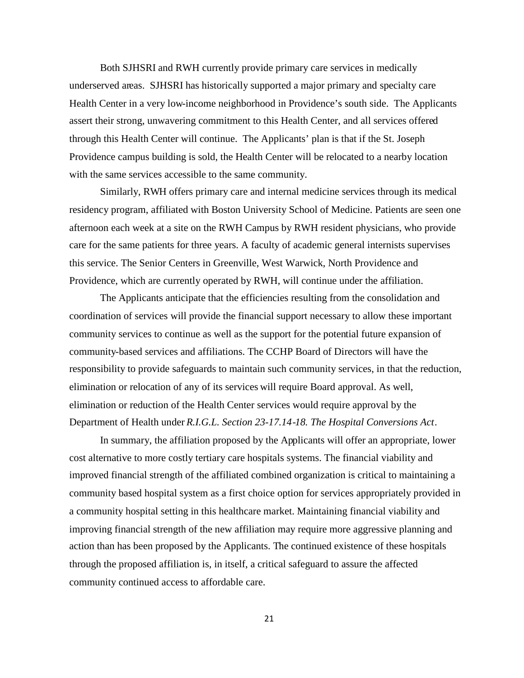Both SJHSRI and RWH currently provide primary care services in medically underserved areas. SJHSRI has historically supported a major primary and specialty care Health Center in a very low-income neighborhood in Providence's south side. The Applicants assert their strong, unwavering commitment to this Health Center, and all services offered through this Health Center will continue. The Applicants' plan is that if the St. Joseph Providence campus building is sold, the Health Center will be relocated to a nearby location with the same services accessible to the same community.

Similarly, RWH offers primary care and internal medicine services through its medical residency program, affiliated with Boston University School of Medicine. Patients are seen one afternoon each week at a site on the RWH Campus by RWH resident physicians, who provide care for the same patients for three years. A faculty of academic general internists supervises this service. The Senior Centers in Greenville, West Warwick, North Providence and Providence, which are currently operated by RWH, will continue under the affiliation.

The Applicants anticipate that the efficiencies resulting from the consolidation and coordination of services will provide the financial support necessary to allow these important community services to continue as well as the support for the potential future expansion of community-based services and affiliations. The CCHP Board of Directors will have the responsibility to provide safeguards to maintain such community services, in that the reduction, elimination or relocation of any of its services will require Board approval. As well, elimination or reduction of the Health Center services would require approval by the Department of Health under *R.I.G.L. Section 23-17.14-18. The Hospital Conversions Act*.

In summary, the affiliation proposed by the Applicants will offer an appropriate, lower cost alternative to more costly tertiary care hospitals systems. The financial viability and improved financial strength of the affiliated combined organization is critical to maintaining a community based hospital system as a first choice option for services appropriately provided in a community hospital setting in this healthcare market. Maintaining financial viability and improving financial strength of the new affiliation may require more aggressive planning and action than has been proposed by the Applicants. The continued existence of these hospitals through the proposed affiliation is, in itself, a critical safeguard to assure the affected community continued access to affordable care.

21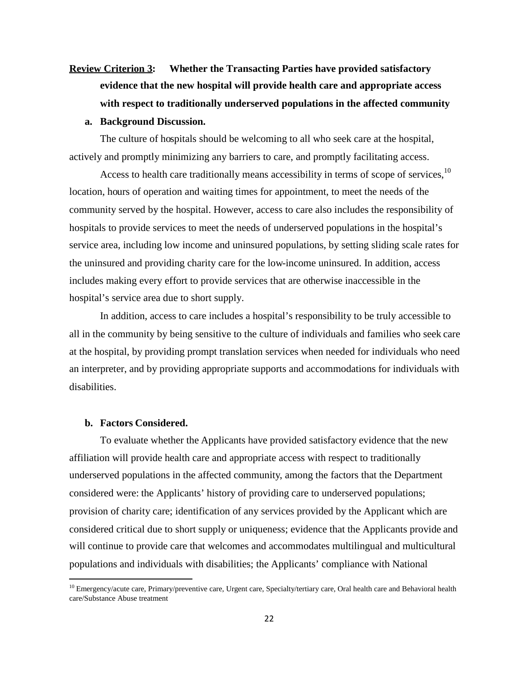# **Review Criterion 3: Whether the Transacting Parties have provided satisfactory evidence that the new hospital will provide health care and appropriate access with respect to traditionally underserved populations in the affected community a. Background Discussion.**

The culture of hospitals should be welcoming to all who seek care at the hospital, actively and promptly minimizing any barriers to care, and promptly facilitating access.

Access to health care traditionally means accessibility in terms of scope of services,<sup>[10](#page-23-0)</sup> location, hours of operation and waiting times for appointment, to meet the needs of the community served by the hospital. However, access to care also includes the responsibility of hospitals to provide services to meet the needs of underserved populations in the hospital's service area, including low income and uninsured populations, by setting sliding scale rates for the uninsured and providing charity care for the low-income uninsured. In addition, access includes making every effort to provide services that are otherwise inaccessible in the hospital's service area due to short supply.

In addition, access to care includes a hospital's responsibility to be truly accessible to all in the community by being sensitive to the culture of individuals and families who seek care at the hospital, by providing prompt translation services when needed for individuals who need an interpreter, and by providing appropriate supports and accommodations for individuals with disabilities.

# **b. Factors Considered.**

To evaluate whether the Applicants have provided satisfactory evidence that the new affiliation will provide health care and appropriate access with respect to traditionally underserved populations in the affected community, among the factors that the Department considered were: the Applicants' history of providing care to underserved populations; provision of charity care; identification of any services provided by the Applicant which are considered critical due to short supply or uniqueness; evidence that the Applicants provide and will continue to provide care that welcomes and accommodates multilingual and multicultural populations and individuals with disabilities; the Applicants' compliance with National

<span id="page-23-0"></span><sup>&</sup>lt;sup>10</sup> Emergency/acute care, Primary/preventive care, Urgent care, Specialty/tertiary care, Oral health care and Behavioral health care/Substance Abuse treatment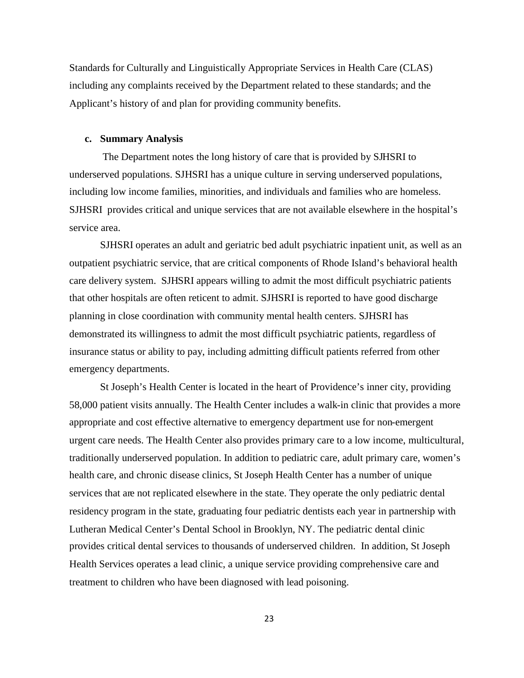Standards for Culturally and Linguistically Appropriate Services in Health Care (CLAS) including any complaints received by the Department related to these standards; and the Applicant's history of and plan for providing community benefits.

### **c. Summary Analysis**

The Department notes the long history of care that is provided by SJHSRI to underserved populations. SJHSRI has a unique culture in serving underserved populations, including low income families, minorities, and individuals and families who are homeless. SJHSRI provides critical and unique services that are not available elsewhere in the hospital's service area.

SJHSRI operates an adult and geriatric bed adult psychiatric inpatient unit, as well as an outpatient psychiatric service, that are critical components of Rhode Island's behavioral health care delivery system. SJHSRI appears willing to admit the most difficult psychiatric patients that other hospitals are often reticent to admit. SJHSRI is reported to have good discharge planning in close coordination with community mental health centers. SJHSRI has demonstrated its willingness to admit the most difficult psychiatric patients, regardless of insurance status or ability to pay, including admitting difficult patients referred from other emergency departments.

St Joseph's Health Center is located in the heart of Providence's inner city, providing 58,000 patient visits annually. The Health Center includes a walk-in clinic that provides a more appropriate and cost effective alternative to emergency department use for non-emergent urgent care needs. The Health Center also provides primary care to a low income, multicultural, traditionally underserved population. In addition to pediatric care, adult primary care, women's health care, and chronic disease clinics, St Joseph Health Center has a number of unique services that are not replicated elsewhere in the state. They operate the only pediatric dental residency program in the state, graduating four pediatric dentists each year in partnership with Lutheran Medical Center's Dental School in Brooklyn, NY. The pediatric dental clinic provides critical dental services to thousands of underserved children. In addition, St Joseph Health Services operates a lead clinic, a unique service providing comprehensive care and treatment to children who have been diagnosed with lead poisoning.

23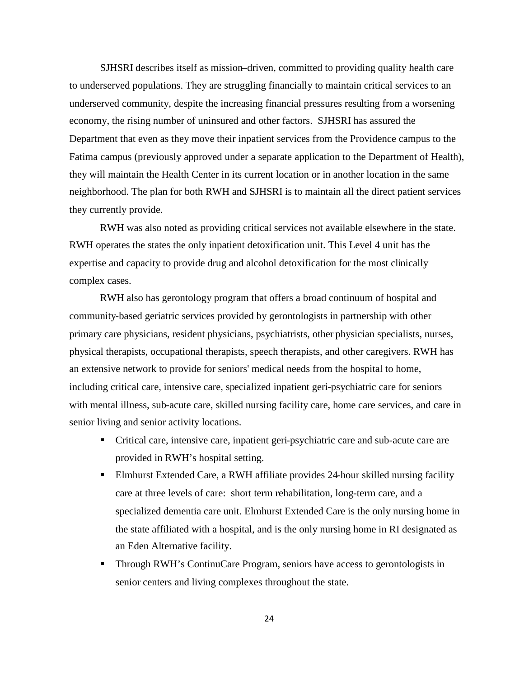SJHSRI describes itself as mission–driven, committed to providing quality health care to underserved populations. They are struggling financially to maintain critical services to an underserved community, despite the increasing financial pressures resulting from a worsening economy, the rising number of uninsured and other factors. SJHSRI has assured the Department that even as they move their inpatient services from the Providence campus to the Fatima campus (previously approved under a separate application to the Department of Health), they will maintain the Health Center in its current location or in another location in the same neighborhood. The plan for both RWH and SJHSRI is to maintain all the direct patient services they currently provide.

RWH was also noted as providing critical services not available elsewhere in the state. RWH operates the states the only inpatient detoxification unit. This Level 4 unit has the expertise and capacity to provide drug and alcohol detoxification for the most clinically complex cases.

RWH also has gerontology program that offers a broad continuum of hospital and community-based geriatric services provided by gerontologists in partnership with other primary care physicians, resident physicians, psychiatrists, other physician specialists, nurses, physical therapists, occupational therapists, speech therapists, and other caregivers. RWH has an extensive network to provide for seniors' medical needs from the hospital to home, including critical care, intensive care, specialized inpatient geri-psychiatric care for seniors with mental illness, sub-acute care, skilled nursing facility care, home care services, and care in senior living and senior activity locations.

- Critical care, intensive care, inpatient geri-psychiatric care and sub-acute care are provided in RWH's hospital setting.
- Elmhurst Extended Care, a RWH affiliate provides 24-hour skilled nursing facility care at three levels of care: short term rehabilitation, long-term care, and a specialized dementia care unit. Elmhurst Extended Care is the only nursing home in the state affiliated with a hospital, and is the only nursing home in RI designated as an Eden Alternative facility.
- **Through RWH's ContinuCare Program, seniors have access to gerontologists in** senior centers and living complexes throughout the state.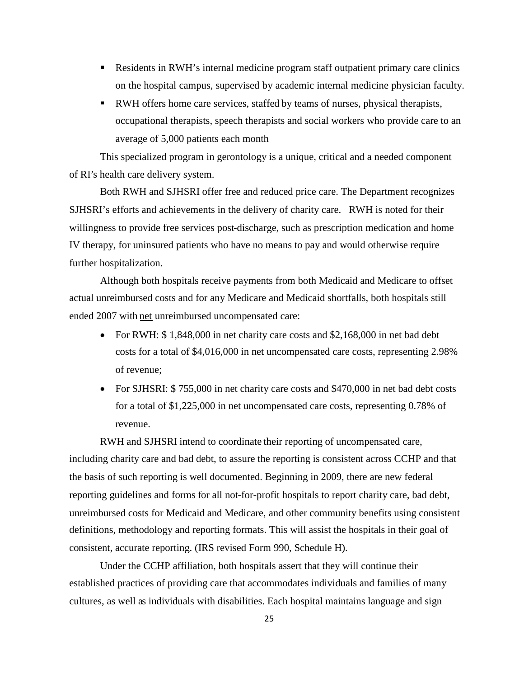- Residents in RWH's internal medicine program staff outpatient primary care clinics on the hospital campus, supervised by academic internal medicine physician faculty.
- RWH offers home care services, staffed by teams of nurses, physical therapists, occupational therapists, speech therapists and social workers who provide care to an average of 5,000 patients each month

This specialized program in gerontology is a unique, critical and a needed component of RI's health care delivery system.

Both RWH and SJHSRI offer free and reduced price care. The Department recognizes SJHSRI's efforts and achievements in the delivery of charity care. RWH is noted for their willingness to provide free services post-discharge, such as prescription medication and home IV therapy, for uninsured patients who have no means to pay and would otherwise require further hospitalization.

Although both hospitals receive payments from both Medicaid and Medicare to offset actual unreimbursed costs and for any Medicare and Medicaid shortfalls, both hospitals still ended 2007 with net unreimbursed uncompensated care:

- For RWH: \$1,848,000 in net charity care costs and \$2,168,000 in net bad debt costs for a total of \$4,016,000 in net uncompensated care costs, representing 2.98% of revenue;
- For SJHSRI: \$ 755,000 in net charity care costs and \$470,000 in net bad debt costs for a total of \$1,225,000 in net uncompensated care costs, representing 0.78% of revenue.

RWH and SJHSRI intend to coordinate their reporting of uncompensated care, including charity care and bad debt, to assure the reporting is consistent across CCHP and that the basis of such reporting is well documented. Beginning in 2009, there are new federal reporting guidelines and forms for all not-for-profit hospitals to report charity care, bad debt, unreimbursed costs for Medicaid and Medicare, and other community benefits using consistent definitions, methodology and reporting formats. This will assist the hospitals in their goal of consistent, accurate reporting. (IRS revised Form 990, Schedule H).

Under the CCHP affiliation, both hospitals assert that they will continue their established practices of providing care that accommodates individuals and families of many cultures, as well as individuals with disabilities. Each hospital maintains language and sign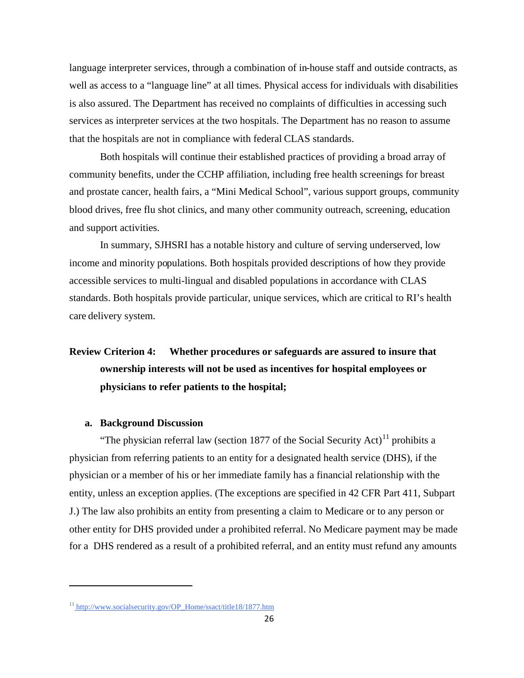language interpreter services, through a combination of in-house staff and outside contracts, as well as access to a "language line" at all times. Physical access for individuals with disabilities is also assured. The Department has received no complaints of difficulties in accessing such services as interpreter services at the two hospitals. The Department has no reason to assume that the hospitals are not in compliance with federal CLAS standards.

Both hospitals will continue their established practices of providing a broad array of community benefits, under the CCHP affiliation, including free health screenings for breast and prostate cancer, health fairs, a "Mini Medical School", various support groups, community blood drives, free flu shot clinics, and many other community outreach, screening, education and support activities.

In summary, SJHSRI has a notable history and culture of serving underserved, low income and minority populations. Both hospitals provided descriptions of how they provide accessible services to multi-lingual and disabled populations in accordance with CLAS standards. Both hospitals provide particular, unique services, which are critical to RI's health care delivery system.

# **Review Criterion 4: Whether procedures or safeguards are assured to insure that ownership interests will not be used as incentives for hospital employees or physicians to refer patients to the hospital;**

### **a. Background Discussion**

"Thephysician referral law (section 1877 of the Social Security Act)<sup>11</sup> prohibits a physician from referring patients to an entity for a designated health service (DHS), if the physician or a member of his or her immediate family has a financial relationship with the entity, unless an exception applies. (The exceptions are specified in 42 CFR Part 411, Subpart J.) The law also prohibits an entity from presenting a claim to Medicare or to any person or other entity for DHS provided under a prohibited referral. No Medicare payment may be made for a DHS rendered as a result of a prohibited referral, and an entity must refund any amounts

<span id="page-27-0"></span><sup>&</sup>lt;sup>11</sup> http://www.socialsecurity.gov/OP\_Home/ssact/title18/1877.htm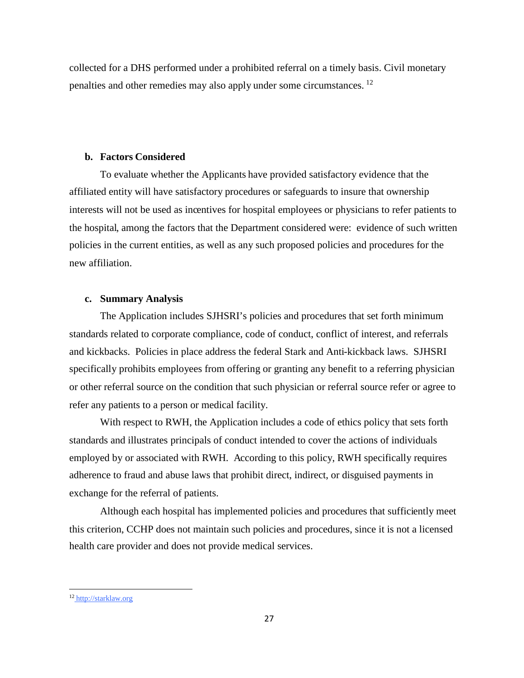collected for a DHS performed under a prohibited referral on a timely basis. Civil monetary penalties and other remedies may also apply under some circumstances. [12](#page-28-0)

### **b. Factors Considered**

To evaluate whether the Applicants have provided satisfactory evidence that the affiliated entity will have satisfactory procedures or safeguards to insure that ownership interests will not be used as incentives for hospital employees or physicians to refer patients to the hospital, among the factors that the Department considered were: evidence of such written policies in the current entities, as well as any such proposed policies and procedures for the new affiliation.

# **c. Summary Analysis**

The Application includes SJHSRI's policies and procedures that set forth minimum standards related to corporate compliance, code of conduct, conflict of interest, and referrals and kickbacks. Policies in place address the federal Stark and Anti-kickback laws. SJHSRI specifically prohibits employees from offering or granting any benefit to a referring physician or other referral source on the condition that such physician or referral source refer or agree to refer any patients to a person or medical facility.

With respect to RWH, the Application includes a code of ethics policy that sets forth standards and illustrates principals of conduct intended to cover the actions of individuals employed by or associated with RWH. According to this policy, RWH specifically requires adherence to fraud and abuse laws that prohibit direct, indirect, or disguised payments in exchange for the referral of patients.

Although each hospital has implemented policies and procedures that sufficiently meet this criterion, CCHP does not maintain such policies and procedures, since it is not a licensed health care provider and does not provide medical services.

<span id="page-28-0"></span><sup>12</sup> http://starklaw.org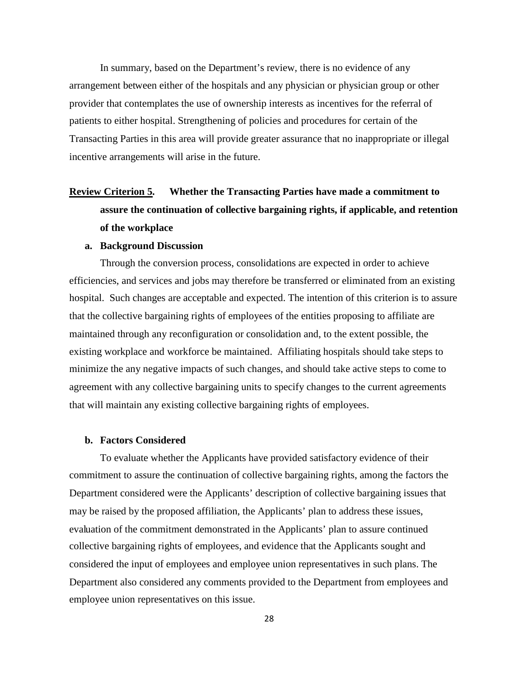In summary, based on the Department's review, there is no evidence of any arrangement between either of the hospitals and any physician or physician group or other provider that contemplates the use of ownership interests as incentives for the referral of patients to either hospital. Strengthening of policies and procedures for certain of the Transacting Parties in this area will provide greater assurance that no inappropriate or illegal incentive arrangements will arise in the future.

# **Review Criterion 5. Whether the Transacting Parties have made a commitment to assure the continuation of collective bargaining rights, if applicable, and retention of the workplace**

### **a. Background Discussion**

Through the conversion process, consolidations are expected in order to achieve efficiencies, and services and jobs may therefore be transferred or eliminated from an existing hospital. Such changes are acceptable and expected. The intention of this criterion is to assure that the collective bargaining rights of employees of the entities proposing to affiliate are maintained through any reconfiguration or consolidation and, to the extent possible, the existing workplace and workforce be maintained. Affiliating hospitals should take steps to minimize the any negative impacts of such changes, and should take active steps to come to agreement with any collective bargaining units to specify changes to the current agreements that will maintain any existing collective bargaining rights of employees.

## **b. Factors Considered**

To evaluate whether the Applicants have provided satisfactory evidence of their commitment to assure the continuation of collective bargaining rights, among the factors the Department considered were the Applicants' description of collective bargaining issues that may be raised by the proposed affiliation, the Applicants' plan to address these issues, evaluation of the commitment demonstrated in the Applicants' plan to assure continued collective bargaining rights of employees, and evidence that the Applicants sought and considered the input of employees and employee union representatives in such plans. The Department also considered any comments provided to the Department from employees and employee union representatives on this issue.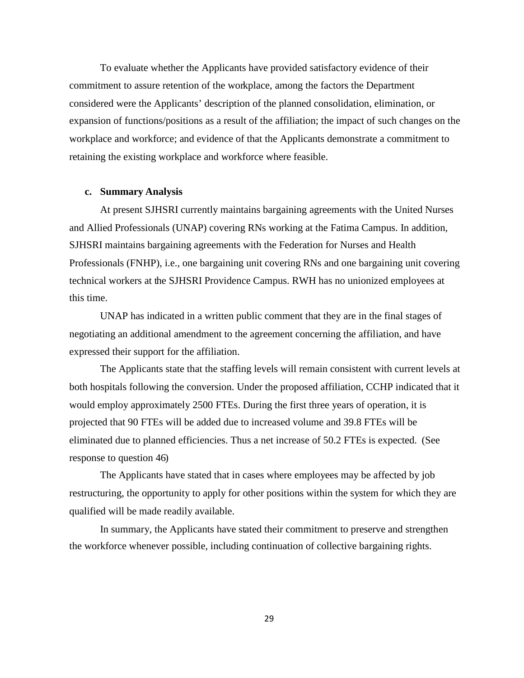To evaluate whether the Applicants have provided satisfactory evidence of their commitment to assure retention of the workplace, among the factors the Department considered were the Applicants' description of the planned consolidation, elimination, or expansion of functions/positions as a result of the affiliation; the impact of such changes on the workplace and workforce; and evidence of that the Applicants demonstrate a commitment to retaining the existing workplace and workforce where feasible.

#### **c. Summary Analysis**

At present SJHSRI currently maintains bargaining agreements with the United Nurses and Allied Professionals (UNAP) covering RNs working at the Fatima Campus. In addition, SJHSRI maintains bargaining agreements with the Federation for Nurses and Health Professionals (FNHP), i.e., one bargaining unit covering RNs and one bargaining unit covering technical workers at the SJHSRI Providence Campus. RWH has no unionized employees at this time.

UNAP has indicated in a written public comment that they are in the final stages of negotiating an additional amendment to the agreement concerning the affiliation, and have expressed their support for the affiliation.

The Applicants state that the staffing levels will remain consistent with current levels at both hospitals following the conversion. Under the proposed affiliation, CCHP indicated that it would employ approximately 2500 FTEs. During the first three years of operation, it is projected that 90 FTEs will be added due to increased volume and 39.8 FTEs will be eliminated due to planned efficiencies. Thus a net increase of 50.2 FTEs is expected. (See response to question 46)

The Applicants have stated that in cases where employees may be affected by job restructuring, the opportunity to apply for other positions within the system for which they are qualified will be made readily available.

In summary, the Applicants have stated their commitment to preserve and strengthen the workforce whenever possible, including continuation of collective bargaining rights.

29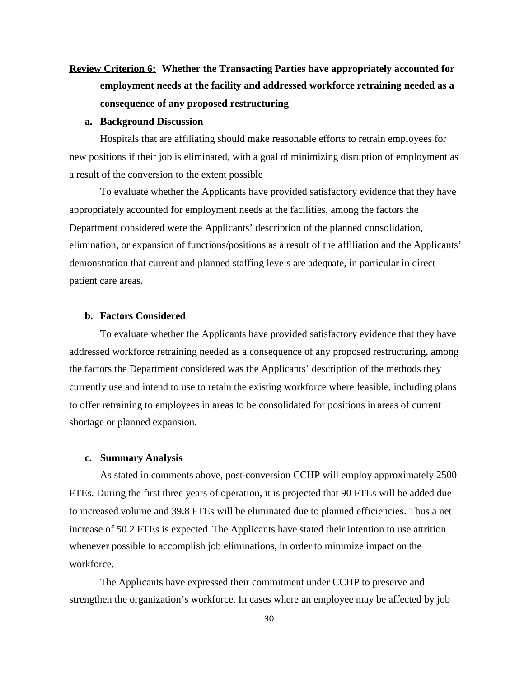# **Review Criterion 6: Whether the Transacting Parties have appropriately accounted for employment needs at the facility and addressed workforce retraining needed as a consequence of any proposed restructuring**

### **a. Background Discussion**

Hospitals that are affiliating should make reasonable efforts to retrain employees for new positions if their job is eliminated, with a goal of minimizing disruption of employment as a result of the conversion to the extent possible

To evaluate whether the Applicants have provided satisfactory evidence that they have appropriately accounted for employment needs at the facilities, among the factors the Department considered were the Applicants' description of the planned consolidation, elimination, or expansion of functions/positions as a result of the affiliation and the Applicants' demonstration that current and planned staffing levels are adequate, in particular in direct patient care areas.

# **b. Factors Considered**

To evaluate whether the Applicants have provided satisfactory evidence that they have addressed workforce retraining needed as a consequence of any proposed restructuring, among the factors the Department considered was the Applicants' description of the methods they currently use and intend to use to retain the existing workforce where feasible, including plans to offer retraining to employees in areas to be consolidated for positions in areas of current shortage or planned expansion.

### **c. Summary Analysis**

As stated in comments above, post-conversion CCHP will employ approximately 2500 FTEs. During the first three years of operation, it is projected that 90 FTEs will be added due to increased volume and 39.8 FTEs will be eliminated due to planned efficiencies. Thus a net increase of 50.2 FTEs is expected. The Applicants have stated their intention to use attrition whenever possible to accomplish job eliminations, in order to minimize impact on the workforce.

The Applicants have expressed their commitment under CCHP to preserve and strengthen the organization's workforce. In cases where an employee may be affected by job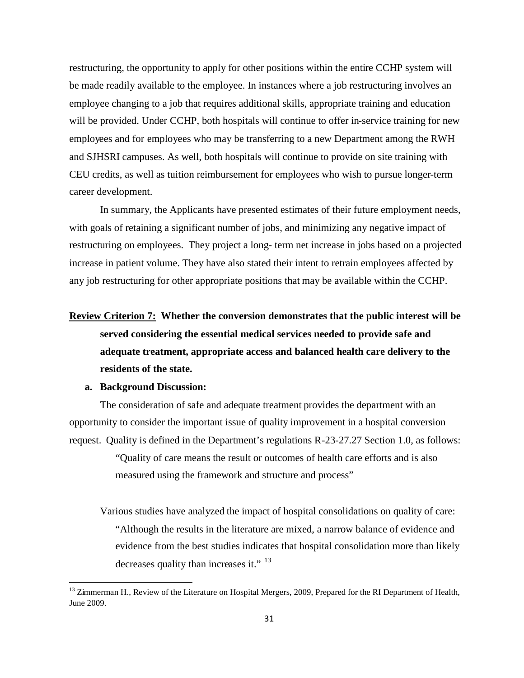restructuring, the opportunity to apply for other positions within the entire CCHP system will be made readily available to the employee. In instances where a job restructuring involves an employee changing to a job that requires additional skills, appropriate training and education will be provided. Under CCHP, both hospitals will continue to offer in-service training for new employees and for employees who may be transferring to a new Department among the RWH and SJHSRI campuses. As well, both hospitals will continue to provide on site training with CEU credits, as well as tuition reimbursement for employees who wish to pursue longer-term career development.

In summary, the Applicants have presented estimates of their future employment needs, with goals of retaining a significant number of jobs, and minimizing any negative impact of restructuring on employees. They project a long- term net increase in jobs based on a projected increase in patient volume. They have also stated their intent to retrain employees affected by any job restructuring for other appropriate positions that may be available within the CCHP.

**Review Criterion 7: Whether the conversion demonstrates that the public interest will be served considering the essential medical services needed to provide safe and adequate treatment, appropriate access and balanced health care delivery to the residents of the state.**

## **a. Background Discussion:**

The consideration of safe and adequate treatment provides the department with an opportunity to consider the important issue of quality improvement in a hospital conversion request. Quality is defined in the Department's regulations R-23-27.27 Section 1.0, as follows:

> "Quality of care means the result or outcomes of health care efforts and is also measured using the framework and structure and process"

Various studies have analyzed the impact of hospital consolidations on quality of care: "Although the results in the literature are mixed, a narrow balance of evidence and evidence from the best studies indicates that hospital consolidation more than likely decreasesquality than increases it." <sup>13</sup>

<span id="page-32-0"></span><sup>&</sup>lt;sup>13</sup> Zimmerman H., Review of the Literature on Hospital Mergers, 2009, Prepared for the RI Department of Health, June 2009.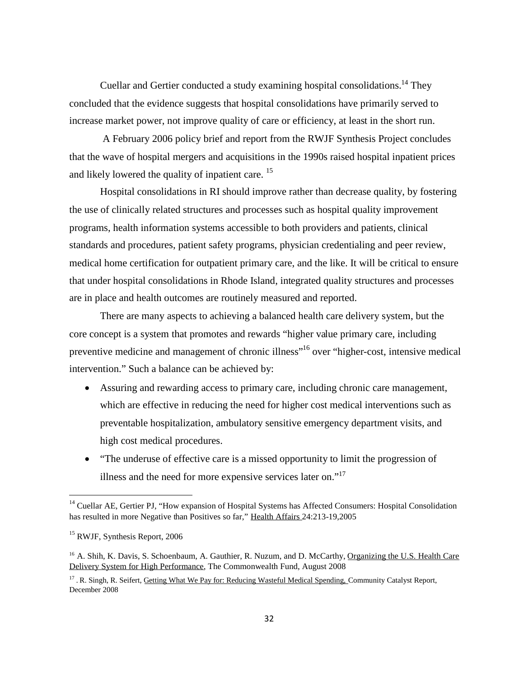Cuellar and Gertier conducted a study examining hospital consolidations.<sup>[14](#page-33-0)</sup> They concluded that the evidence suggests that hospital consolidations have primarily served to increase market power, not improve quality of care or efficiency, at least in the short run.

A February 2006 policy brief and report from the RWJF Synthesis Project concludes that the wave of hospital mergers and acquisitions in the 1990s raised hospital inpatient prices and likely lowered the quality of inpatientcare. <sup>15</sup>

Hospital consolidations in RI should improve rather than decrease quality, by fostering the use of clinically related structures and processes such as hospital quality improvement programs, health information systems accessible to both providers and patients, clinical standards and procedures, patient safety programs, physician credentialing and peer review, medical home certification for outpatient primary care, and the like. It will be critical to ensure that under hospital consolidations in Rhode Island, integrated quality structures and processes are in place and health outcomes are routinely measured and reported.

There are many aspects to achieving a balanced health care delivery system, but the core concept is a system that promotes and rewards "higher value primary care, including preventive medicine and management of chronic illness<sup>"[16](#page-33-2)</sup> over "higher-cost, intensive medical intervention." Such a balance can be achieved by:

- Assuring and rewarding access to primary care, including chronic care management, which are effective in reducing the need for higher cost medical interventions such as preventable hospitalization, ambulatory sensitive emergency department visits, and high cost medical procedures.
- "The underuse of effective care is a missed opportunity to limit the progression of illness and the need for more expensive services lateron.["](#page-33-3)<sup>17</sup>

<span id="page-33-0"></span><sup>&</sup>lt;sup>14</sup> Cuellar AE, Gertier PJ, "How expansion of Hospital Systems has Affected Consumers: Hospital Consolidation has resulted in more Negative than Positives so far," Health Affairs 24:213-19,2005

<span id="page-33-1"></span><sup>15</sup> RWJF, Synthesis Report, 2006

<span id="page-33-2"></span><sup>&</sup>lt;sup>16</sup> A. Shih, K. Davis, S. Schoenbaum, A. Gauthier, R. Nuzum, and D. McCarthy, Organizing the U.S. Health Care Delivery System for High Performance, The Commonwealth Fund, August 2008

<span id="page-33-3"></span><sup>&</sup>lt;sup>17</sup>. R. Singh, R. Seifert, Getting What We Pay for: Reducing Wasteful Medical Spending, Community Catalyst Report, December 2008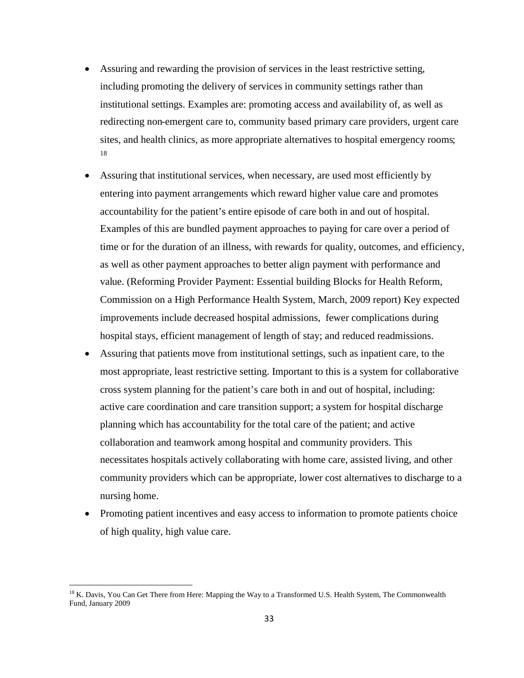- Assuring and rewarding the provision of services in the least restrictive setting, including promoting the delivery of services in community settings rather than institutional settings. Examples are: promoting access and availability of, as well as redirecting non-emergent care to, community based primary care providers, urgent care sites, and health clinics, as more appropriate alternatives to hospital emergency rooms; [18](#page-34-0)
- Assuring that institutional services, when necessary, are used most efficiently by entering into payment arrangements which reward higher value care and promotes accountability for the patient's entire episode of care both in and out of hospital. Examples of this are bundled payment approaches to paying for care over a period of time or for the duration of an illness, with rewards for quality, outcomes, and efficiency, as well as other payment approaches to better align payment with performance and value. (Reforming Provider Payment: Essential building Blocks for Health Reform, Commission on a High Performance Health System, March, 2009 report) Key expected improvements include decreased hospital admissions, fewer complications during hospital stays, efficient management of length of stay; and reduced readmissions.
- Assuring that patients move from institutional settings, such as inpatient care, to the most appropriate, least restrictive setting. Important to this is a system for collaborative cross system planning for the patient's care both in and out of hospital, including: active care coordination and care transition support; a system for hospital discharge planning which has accountability for the total care of the patient; and active collaboration and teamwork among hospital and community providers. This necessitates hospitals actively collaborating with home care, assisted living, and other community providers which can be appropriate, lower cost alternatives to discharge to a nursing home.
- Promoting patient incentives and easy access to information to promote patients choice of high quality, high value care.

<span id="page-34-0"></span><sup>&</sup>lt;sup>18</sup> K. Davis, You Can Get There from Here: Mapping the Way to a Transformed U.S. Health System, The Commonwealth Fund, January 2009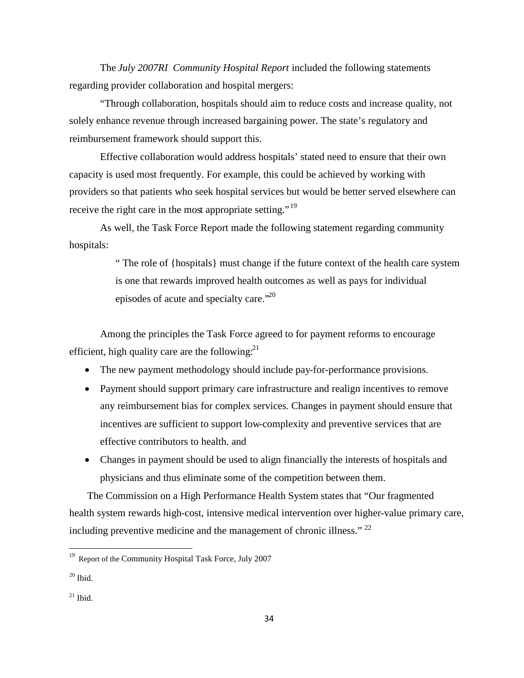The *July 2007RI Community Hospital Report* included the following statements regarding provider collaboration and hospital mergers:

"Through collaboration, hospitals should aim to reduce costs and increase quality, not solely enhance revenue through increased bargaining power. The state's regulatory and reimbursement framework should support this.

Effective collaboration would address hospitals' stated need to ensure that their own capacity is used most frequently. For example, this could be achieved by working with providers so that patients who seek hospital services but would be better served elsewhere can receive the right care in the most appropriate setting."<sup>[19](#page-35-0)</sup>

As well, the Task Force Report made the following statement regarding community hospitals:

> " The role of {hospitals} must change if the future context of the health care system is one that rewards improved health outcomes as well as pays for individual episodes of acute and specialty care."<sup>[20](#page-35-1)</sup>

Among the principles the Task Force agreed to for payment reforms to encourage efficient, high quality care are the following: $^{21}$  $^{21}$  $^{21}$ 

- The new payment methodology should include pay-for-performance provisions.
- Payment should support primary care infrastructure and realign incentives to remove any reimbursement bias for complex services. Changes in payment should ensure that incentives are sufficient to support low-complexity and preventive services that are effective contributors to health. and
- Changes in payment should be used to align financially the interests of hospitals and physicians and thus eliminate some of the competition between them.

<span id="page-35-3"></span>The Commission on a High Performance Health System states that "Our fragmented health system rewards high-cost, intensive medical intervention over higher-value primary care, including preventive medicine and the management of chronic illness." [22](#page-35-3)

<span id="page-35-0"></span><sup>&</sup>lt;sup>19</sup> Report of the Community Hospital Task Force, July 2007

<span id="page-35-1"></span> $20$  Ibid.

<span id="page-35-2"></span> $21$  Ibid.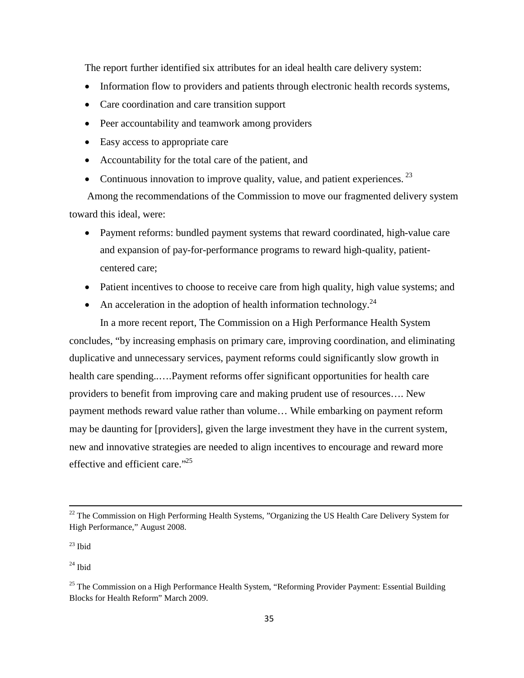The report further identified six attributes for an ideal health care delivery system:

- Information flow to providers and patients through electronic health records systems,
- Care coordination and care transition support
- Peer accountability and teamwork among providers
- Easy access to appropriate care
- Accountability for the total care of the patient, and
- Continuous innovation to improve quality, value, and patient experiences.  $^{23}$  $^{23}$  $^{23}$

Among the recommendations of the Commission to move our fragmented delivery system toward this ideal, were:

- Payment reforms: bundled payment systems that reward coordinated, high-value care and expansion of pay-for-performance programs to reward high-quality, patientcentered care;
- Patient incentives to choose to receive care from high quality, high value systems; and
- An acceleration in the adoption of health information technology.<sup>[24](#page-36-1)</sup>

In a more recent report, The Commission on a High Performance Health System concludes, "by increasing emphasis on primary care, improving coordination, and eliminating duplicative and unnecessary services, payment reforms could significantly slow growth in health care spending..….Payment reforms offer significant opportunities for health care providers to benefit from improving care and making prudent use of resources…. New payment methods reward value rather than volume… While embarking on payment reform may be daunting for [providers], given the large investment they have in the current system, new and innovative strategies are needed to align incentives to encourage and reward more effective and efficient care."<sup>[25](#page-36-2)</sup>

<sup>&</sup>lt;sup>22</sup> The Commission on High Performing Health Systems, "Organizing the US Health Care Delivery System for High Performance," August 2008.

<span id="page-36-0"></span> $23$  Ibid

<span id="page-36-1"></span> $^{24}$  Ibid

<span id="page-36-2"></span> $25$  The Commission on a High Performance Health System, "Reforming Provider Payment: Essential Building Blocks for Health Reform" March 2009.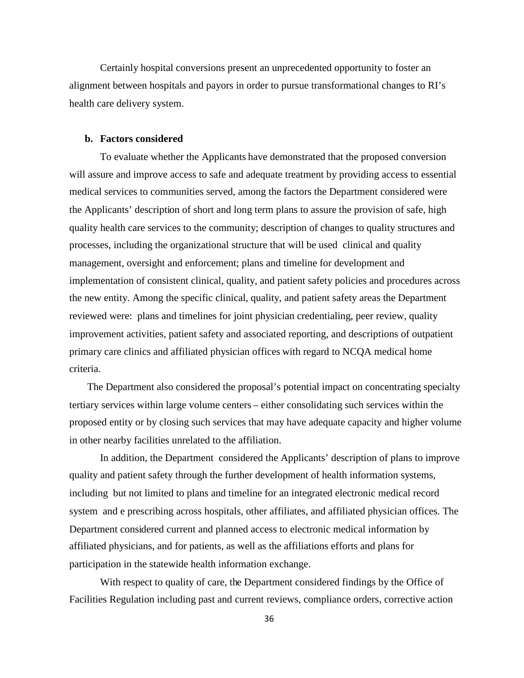Certainly hospital conversions present an unprecedented opportunity to foster an alignment between hospitals and payors in order to pursue transformational changes to RI's health care delivery system.

### **b. Factors considered**

To evaluate whether the Applicants have demonstrated that the proposed conversion will assure and improve access to safe and adequate treatment by providing access to essential medical services to communities served, among the factors the Department considered were the Applicants' description of short and long term plans to assure the provision of safe, high quality health care services to the community; description of changes to quality structures and processes, including the organizational structure that will be used clinical and quality management, oversight and enforcement; plans and timeline for development and implementation of consistent clinical, quality, and patient safety policies and procedures across the new entity. Among the specific clinical, quality, and patient safety areas the Department reviewed were: plans and timelines for joint physician credentialing, peer review, quality improvement activities, patient safety and associated reporting, and descriptions of outpatient primary care clinics and affiliated physician offices with regard to NCQA medical home criteria.

The Department also considered the proposal's potential impact on concentrating specialty tertiary services within large volume centers – either consolidating such services within the proposed entity or by closing such services that may have adequate capacity and higher volume in other nearby facilities unrelated to the affiliation.

In addition, the Department considered the Applicants' description of plans to improve quality and patient safety through the further development of health information systems, including but not limited to plans and timeline for an integrated electronic medical record system and e prescribing across hospitals, other affiliates, and affiliated physician offices. The Department considered current and planned access to electronic medical information by affiliated physicians, and for patients, as well as the affiliations efforts and plans for participation in the statewide health information exchange.

With respect to quality of care, the Department considered findings by the Office of Facilities Regulation including past and current reviews, compliance orders, corrective action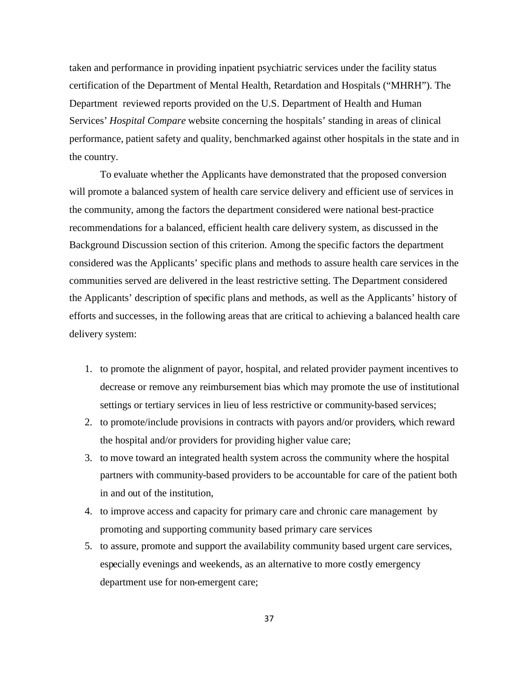taken and performance in providing inpatient psychiatric services under the facility status certification of the Department of Mental Health, Retardation and Hospitals ("MHRH"). The Department reviewed reports provided on the U.S. Department of Health and Human Services' *Hospital Compare* website concerning the hospitals' standing in areas of clinical performance, patient safety and quality, benchmarked against other hospitals in the state and in the country.

To evaluate whether the Applicants have demonstrated that the proposed conversion will promote a balanced system of health care service delivery and efficient use of services in the community, among the factors the department considered were national best-practice recommendations for a balanced, efficient health care delivery system, as discussed in the Background Discussion section of this criterion. Among the specific factors the department considered was the Applicants' specific plans and methods to assure health care services in the communities served are delivered in the least restrictive setting. The Department considered the Applicants' description of specific plans and methods, as well as the Applicants' history of efforts and successes, in the following areas that are critical to achieving a balanced health care delivery system:

- 1. to promote the alignment of payor, hospital, and related provider payment incentives to decrease or remove any reimbursement bias which may promote the use of institutional settings or tertiary services in lieu of less restrictive or community-based services;
- 2. to promote/include provisions in contracts with payors and/or providers, which reward the hospital and/or providers for providing higher value care;
- 3. to move toward an integrated health system across the community where the hospital partners with community-based providers to be accountable for care of the patient both in and out of the institution,
- 4. to improve access and capacity for primary care and chronic care management by promoting and supporting community based primary care services
- 5. to assure, promote and support the availability community based urgent care services, especially evenings and weekends, as an alternative to more costly emergency department use for non-emergent care;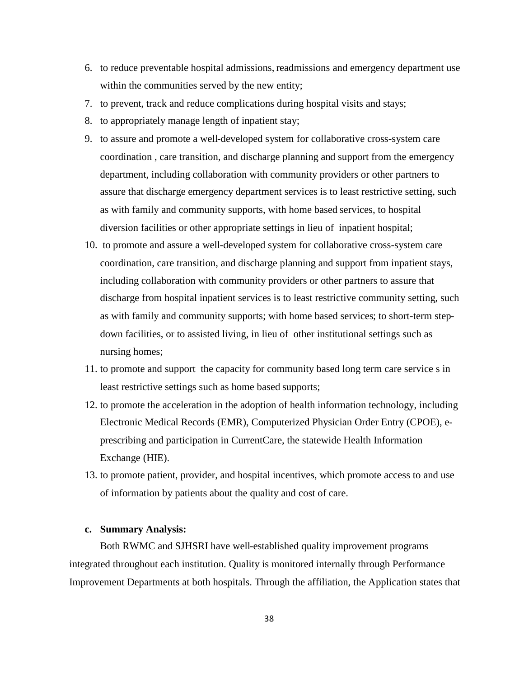- 6. to reduce preventable hospital admissions, readmissions and emergency department use within the communities served by the new entity;
- 7. to prevent, track and reduce complications during hospital visits and stays;
- 8. to appropriately manage length of inpatient stay;
- 9. to assure and promote a well-developed system for collaborative cross-system care coordination , care transition, and discharge planning and support from the emergency department, including collaboration with community providers or other partners to assure that discharge emergency department services is to least restrictive setting, such as with family and community supports, with home based services, to hospital diversion facilities or other appropriate settings in lieu of inpatient hospital;
- 10. to promote and assure a well-developed system for collaborative cross-system care coordination, care transition, and discharge planning and support from inpatient stays, including collaboration with community providers or other partners to assure that discharge from hospital inpatient services is to least restrictive community setting, such as with family and community supports; with home based services; to short-term stepdown facilities, or to assisted living, in lieu of other institutional settings such as nursing homes;
- 11. to promote and support the capacity for community based long term care service s in least restrictive settings such as home based supports;
- 12. to promote the acceleration in the adoption of health information technology, including Electronic Medical Records (EMR), Computerized Physician Order Entry (CPOE), eprescribing and participation in CurrentCare, the statewide Health Information Exchange (HIE).
- 13. to promote patient, provider, and hospital incentives, which promote access to and use of information by patients about the quality and cost of care.

# **c. Summary Analysis:**

Both RWMC and SJHSRI have well-established quality improvement programs integrated throughout each institution. Quality is monitored internally through Performance Improvement Departments at both hospitals. Through the affiliation, the Application states that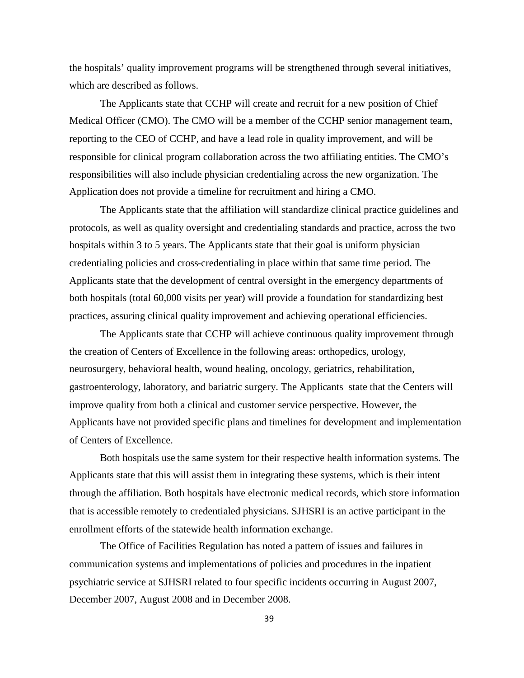the hospitals' quality improvement programs will be strengthened through several initiatives, which are described as follows.

The Applicants state that CCHP will create and recruit for a new position of Chief Medical Officer (CMO). The CMO will be a member of the CCHP senior management team, reporting to the CEO of CCHP, and have a lead role in quality improvement, and will be responsible for clinical program collaboration across the two affiliating entities. The CMO's responsibilities will also include physician credentialing across the new organization. The Application does not provide a timeline for recruitment and hiring a CMO.

The Applicants state that the affiliation will standardize clinical practice guidelines and protocols, as well as quality oversight and credentialing standards and practice, across the two hospitals within 3 to 5 years. The Applicants state that their goal is uniform physician credentialing policies and cross-credentialing in place within that same time period. The Applicants state that the development of central oversight in the emergency departments of both hospitals (total 60,000 visits per year) will provide a foundation for standardizing best practices, assuring clinical quality improvement and achieving operational efficiencies.

The Applicants state that CCHP will achieve continuous quality improvement through the creation of Centers of Excellence in the following areas: orthopedics, urology, neurosurgery, behavioral health, wound healing, oncology, geriatrics, rehabilitation, gastroenterology, laboratory, and bariatric surgery. The Applicants state that the Centers will improve quality from both a clinical and customer service perspective. However, the Applicants have not provided specific plans and timelines for development and implementation of Centers of Excellence.

Both hospitals use the same system for their respective health information systems. The Applicants state that this will assist them in integrating these systems, which is their intent through the affiliation. Both hospitals have electronic medical records, which store information that is accessible remotely to credentialed physicians. SJHSRI is an active participant in the enrollment efforts of the statewide health information exchange.

The Office of Facilities Regulation has noted a pattern of issues and failures in communication systems and implementations of policies and procedures in the inpatient psychiatric service at SJHSRI related to four specific incidents occurring in August 2007, December 2007, August 2008 and in December 2008.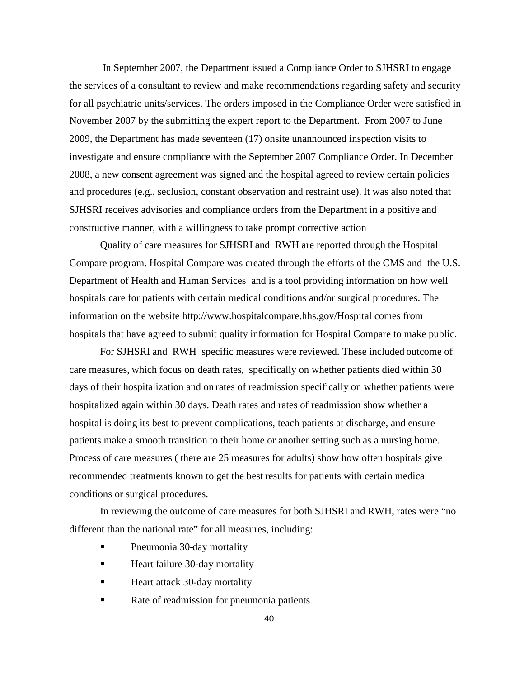In September 2007, the Department issued a Compliance Order to SJHSRI to engage the services of a consultant to review and make recommendations regarding safety and security for all psychiatric units/services. The orders imposed in the Compliance Order were satisfied in November 2007 by the submitting the expert report to the Department. From 2007 to June 2009, the Department has made seventeen (17) onsite unannounced inspection visits to investigate and ensure compliance with the September 2007 Compliance Order. In December 2008, a new consent agreement was signed and the hospital agreed to review certain policies and procedures (e.g., seclusion, constant observation and restraint use). It was also noted that SJHSRI receives advisories and compliance orders from the Department in a positive and constructive manner, with a willingness to take prompt corrective action

Quality of care measures for SJHSRI and RWH are reported through the Hospital Compare program. Hospital Compare was created through the efforts of the CMS and the U.S. Department of Health and Human Services and is a tool providing information on how well hospitals care for patients with certain medical conditions and/or surgical procedures. The information on the website http://www.hospitalcompare.hhs.gov/Hospital comes from hospitals that have agreed to submit quality information for Hospital Compare to make public.

For SJHSRI and RWH specific measures were reviewed. These included outcome of care measures, which focus on death rates, specifically on whether patients died within 30 days of their hospitalization and on rates of readmission specifically on whether patients were hospitalized again within 30 days. Death rates and rates of readmission show whether a hospital is doing its best to prevent complications, teach patients at discharge, and ensure patients make a smooth transition to their home or another setting such as a nursing home. Process of care measures ( there are 25 measures for adults) show how often hospitals give recommended treatments known to get the best results for patients with certain medical conditions or surgical procedures.

In reviewing the outcome of care measures for both SJHSRI and RWH, rates were "no different than the national rate" for all measures, including:

- Pneumonia 30-day mortality
- Heart failure 30-day mortality
- Heart attack 30-day mortality
- Rate of readmission for pneumonia patients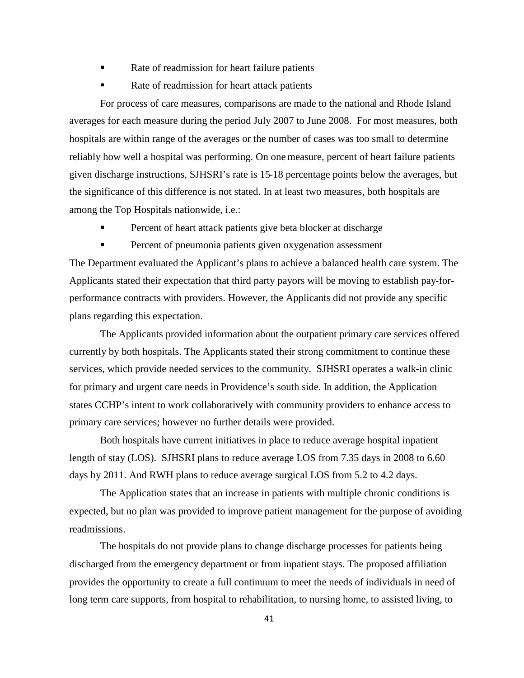- Rate of readmission for heart failure patients
- Rate of readmission for heart attack patients

For process of care measures, comparisons are made to the national and Rhode Island averages for each measure during the period July 2007 to June 2008. For most measures, both hospitals are within range of the averages or the number of cases was too small to determine reliably how well a hospital was performing. On one measure, percent of heart failure patients given discharge instructions, SJHSRI's rate is 15-18 percentage points below the averages, but the significance of this difference is not stated. In at least two measures, both hospitals are among the Top Hospitals nationwide, i.e.:

- Percent of heart attack patients give beta blocker at discharge
- **Percent of pneumonia patients given oxygenation assessment**

The Department evaluated the Applicant's plans to achieve a balanced health care system. The Applicants stated their expectation that third party payors will be moving to establish pay-forperformance contracts with providers. However, the Applicants did not provide any specific plans regarding this expectation.

The Applicants provided information about the outpatient primary care services offered currently by both hospitals. The Applicants stated their strong commitment to continue these services, which provide needed services to the community. SJHSRI operates a walk-in clinic for primary and urgent care needs in Providence's south side. In addition, the Application states CCHP's intent to work collaboratively with community providers to enhance access to primary care services; however no further details were provided.

Both hospitals have current initiatives in place to reduce average hospital inpatient length of stay (LOS). SJHSRI plans to reduce average LOS from 7.35 days in 2008 to 6.60 days by 2011. And RWH plans to reduce average surgical LOS from 5.2 to 4.2 days.

The Application states that an increase in patients with multiple chronic conditions is expected, but no plan was provided to improve patient management for the purpose of avoiding readmissions.

The hospitals do not provide plans to change discharge processes for patients being discharged from the emergency department or from inpatient stays. The proposed affiliation provides the opportunity to create a full continuum to meet the needs of individuals in need of long term care supports, from hospital to rehabilitation, to nursing home, to assisted living, to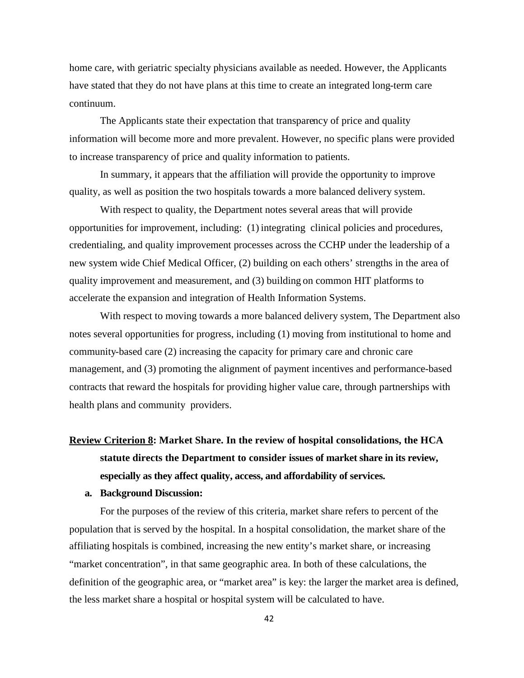home care, with geriatric specialty physicians available as needed. However, the Applicants have stated that they do not have plans at this time to create an integrated long-term care continuum.

The Applicants state their expectation that transparency of price and quality information will become more and more prevalent. However, no specific plans were provided to increase transparency of price and quality information to patients.

In summary, it appears that the affiliation will provide the opportunity to improve quality, as well as position the two hospitals towards a more balanced delivery system.

With respect to quality, the Department notes several areas that will provide opportunities for improvement, including: (1) integrating clinical policies and procedures, credentialing, and quality improvement processes across the CCHP under the leadership of a new system wide Chief Medical Officer, (2) building on each others' strengths in the area of quality improvement and measurement, and (3) building on common HIT platforms to accelerate the expansion and integration of Health Information Systems.

With respect to moving towards a more balanced delivery system, The Department also notes several opportunities for progress, including (1) moving from institutional to home and community-based care (2) increasing the capacity for primary care and chronic care management, and (3) promoting the alignment of payment incentives and performance-based contracts that reward the hospitals for providing higher value care, through partnerships with health plans and community providers.

# **Review Criterion 8: Market Share. In the review of hospital consolidations, the HCA statute directs the Department to consider issues of market share in its review, especially as they affect quality, access, and affordability of services.**

#### **a. Background Discussion:**

For the purposes of the review of this criteria, market share refers to percent of the population that is served by the hospital. In a hospital consolidation, the market share of the affiliating hospitals is combined, increasing the new entity's market share, or increasing "market concentration", in that same geographic area. In both of these calculations, the definition of the geographic area, or "market area" is key: the larger the market area is defined, the less market share a hospital or hospital system will be calculated to have.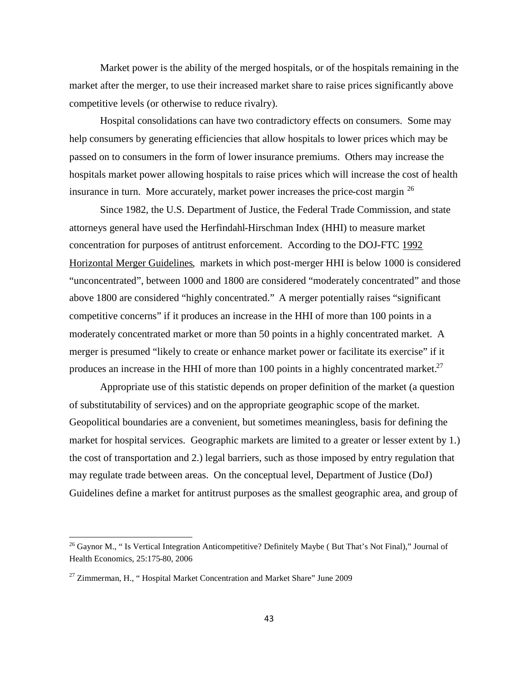Market power is the ability of the merged hospitals, or of the hospitals remaining in the market after the merger, to use their increased market share to raise prices significantly above competitive levels (or otherwise to reduce rivalry).

Hospital consolidations can have two contradictory effects on consumers. Some may help consumers by generating efficiencies that allow hospitals to lower prices which may be passed on to consumers in the form of lower insurance premiums. Others may increase the hospitals market power allowing hospitals to raise prices which will increase the cost of health insurance in turn. More accurately, market power increases the price-cost margin <sup>[26](#page-44-0)</sup>

Since 1982, the U.S. Department of Justice, the Federal Trade Commission, and state attorneys general have used the Herfindahl-Hirschman Index (HHI) to measure market concentration for purposes of antitrust enforcement. According to the DOJ-FTC 1992 Horizontal Merger Guidelines, markets in which post-merger HHI is below 1000 is considered "unconcentrated", between 1000 and 1800 are considered "moderately concentrated" and those above 1800 are considered "highly concentrated." A merger potentially raises "significant competitive concerns" if it produces an increase in the HHI of more than 100 points in a moderately concentrated market or more than 50 points in a highly concentrated market. A merger is presumed "likely to create or enhance market power or facilitate its exercise" if it produces an increase in the HHI of more than 100 points in a highly concentrated market.<sup>[27](#page-44-1)</sup>

Appropriate use of this statistic depends on proper definition of the market (a question of substitutability of services) and on the appropriate geographic scope of the market. Geopolitical boundaries are a convenient, but sometimes meaningless, basis for defining the market for hospital services. Geographic markets are limited to a greater or lesser extent by 1.) the cost of transportation and 2.) legal barriers, such as those imposed by entry regulation that may regulate trade between areas. On the conceptual level, Department of Justice (DoJ) Guidelines define a market for antitrust purposes as the smallest geographic area, and group of

<span id="page-44-0"></span><sup>&</sup>lt;sup>26</sup> Gaynor M., "Is Vertical Integration Anticompetitive? Definitely Maybe (But That's Not Final)," Journal of Health Economics, 25:175-80, 2006

<span id="page-44-1"></span> $^{27}$  Zimmerman, H., "Hospital Market Concentration and Market Share" June 2009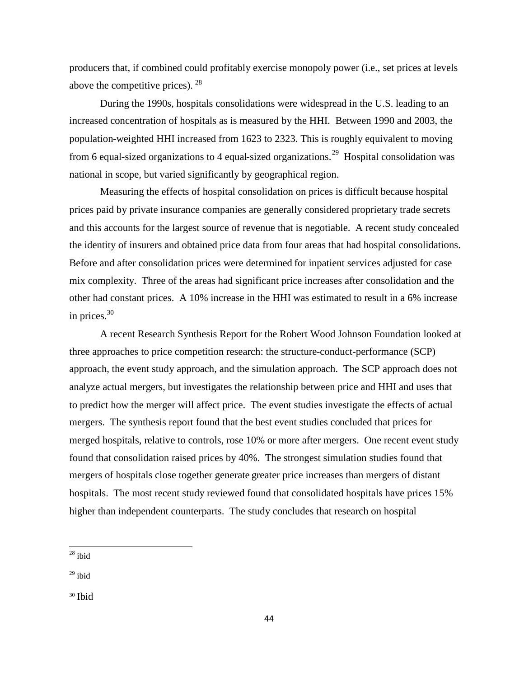producers that, if combined could profitably exercise monopoly power (i.e., set prices at levels above the competitive prices).  $28$ 

During the 1990s, hospitals consolidations were widespread in the U.S. leading to an increased concentration of hospitals as is measured by the HHI. Between 1990 and 2003, the population-weighted HHI increased from 1623 to 2323. This is roughly equivalent to moving from 6 equal-sized organizations to 4 equal-sized organizations.<sup>[29](#page-45-1)</sup> Hospital consolidation was national in scope, but varied significantly by geographical region.

Measuring the effects of hospital consolidation on prices is difficult because hospital prices paid by private insurance companies are generally considered proprietary trade secrets and this accounts for the largest source of revenue that is negotiable. A recent study concealed the identity of insurers and obtained price data from four areas that had hospital consolidations. Before and after consolidation prices were determined for inpatient services adjusted for case mix complexity. Three of the areas had significant price increases after consolidation and the other had constant prices. A 10% increase in the HHI was estimated to result in a 6% increase in prices. $30$ 

A recent Research Synthesis Report for the Robert Wood Johnson Foundation looked at three approaches to price competition research: the structure-conduct-performance (SCP) approach, the event study approach, and the simulation approach. The SCP approach does not analyze actual mergers, but investigates the relationship between price and HHI and uses that to predict how the merger will affect price. The event studies investigate the effects of actual mergers. The synthesis report found that the best event studies concluded that prices for merged hospitals, relative to controls, rose 10% or more after mergers. One recent event study found that consolidation raised prices by 40%. The strongest simulation studies found that mergers of hospitals close together generate greater price increases than mergers of distant hospitals. The most recent study reviewed found that consolidated hospitals have prices 15% higher than independent counterparts. The study concludes that research on hospital

<span id="page-45-0"></span> $28$  ibid

<span id="page-45-1"></span> $29$  ibid

<span id="page-45-2"></span><sup>30</sup> Ibid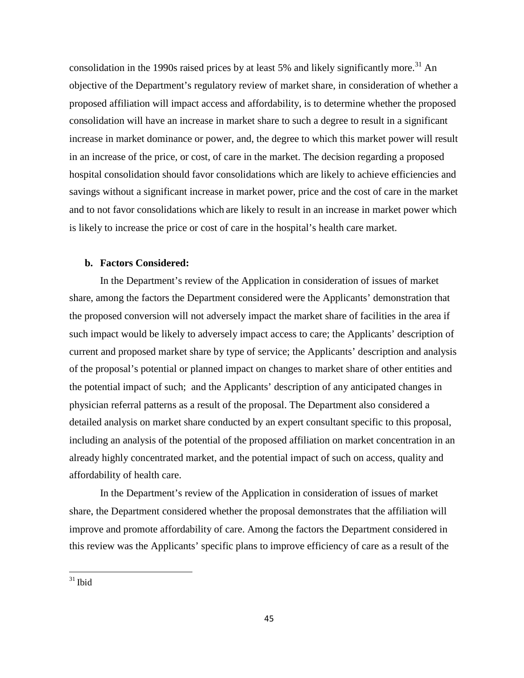consolidation in the 1990s raised prices by at least 5% and likely significantly more.<sup>[31](#page-46-0)</sup> An objective of the Department's regulatory review of market share, in consideration of whether a proposed affiliation will impact access and affordability, is to determine whether the proposed consolidation will have an increase in market share to such a degree to result in a significant increase in market dominance or power, and, the degree to which this market power will result in an increase of the price, or cost, of care in the market. The decision regarding a proposed hospital consolidation should favor consolidations which are likely to achieve efficiencies and savings without a significant increase in market power, price and the cost of care in the market and to not favor consolidations which are likely to result in an increase in market power which is likely to increase the price or cost of care in the hospital's health care market.

### **b. Factors Considered:**

In the Department's review of the Application in consideration of issues of market share, among the factors the Department considered were the Applicants' demonstration that the proposed conversion will not adversely impact the market share of facilities in the area if such impact would be likely to adversely impact access to care; the Applicants' description of current and proposed market share by type of service; the Applicants' description and analysis of the proposal's potential or planned impact on changes to market share of other entities and the potential impact of such; and the Applicants' description of any anticipated changes in physician referral patterns as a result of the proposal. The Department also considered a detailed analysis on market share conducted by an expert consultant specific to this proposal, including an analysis of the potential of the proposed affiliation on market concentration in an already highly concentrated market, and the potential impact of such on access, quality and affordability of health care.

In the Department's review of the Application in consideration of issues of market share, the Department considered whether the proposal demonstrates that the affiliation will improve and promote affordability of care. Among the factors the Department considered in this review was the Applicants' specific plans to improve efficiency of care as a result of the

<span id="page-46-0"></span> $31$  Ibid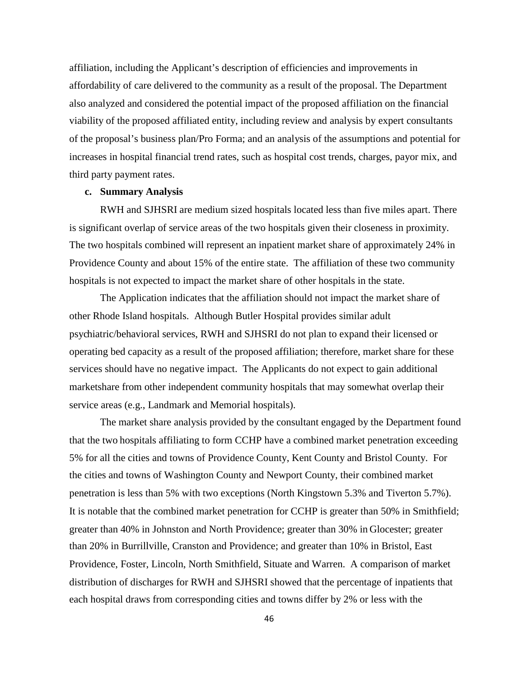affiliation, including the Applicant's description of efficiencies and improvements in affordability of care delivered to the community as a result of the proposal. The Department also analyzed and considered the potential impact of the proposed affiliation on the financial viability of the proposed affiliated entity, including review and analysis by expert consultants of the proposal's business plan/Pro Forma; and an analysis of the assumptions and potential for increases in hospital financial trend rates, such as hospital cost trends, charges, payor mix, and third party payment rates.

#### **c. Summary Analysis**

RWH and SJHSRI are medium sized hospitals located less than five miles apart. There is significant overlap of service areas of the two hospitals given their closeness in proximity. The two hospitals combined will represent an inpatient market share of approximately 24% in Providence County and about 15% of the entire state. The affiliation of these two community hospitals is not expected to impact the market share of other hospitals in the state.

The Application indicates that the affiliation should not impact the market share of other Rhode Island hospitals. Although Butler Hospital provides similar adult psychiatric/behavioral services, RWH and SJHSRI do not plan to expand their licensed or operating bed capacity as a result of the proposed affiliation; therefore, market share for these services should have no negative impact. The Applicants do not expect to gain additional marketshare from other independent community hospitals that may somewhat overlap their service areas (e.g., Landmark and Memorial hospitals).

The market share analysis provided by the consultant engaged by the Department found that the two hospitals affiliating to form CCHP have a combined market penetration exceeding 5% for all the cities and towns of Providence County, Kent County and Bristol County. For the cities and towns of Washington County and Newport County, their combined market penetration is less than 5% with two exceptions (North Kingstown 5.3% and Tiverton 5.7%). It is notable that the combined market penetration for CCHP is greater than 50% in Smithfield; greater than 40% in Johnston and North Providence; greater than 30% in Glocester; greater than 20% in Burrillville, Cranston and Providence; and greater than 10% in Bristol, East Providence, Foster, Lincoln, North Smithfield, Situate and Warren. A comparison of market distribution of discharges for RWH and SJHSRI showed that the percentage of inpatients that each hospital draws from corresponding cities and towns differ by 2% or less with the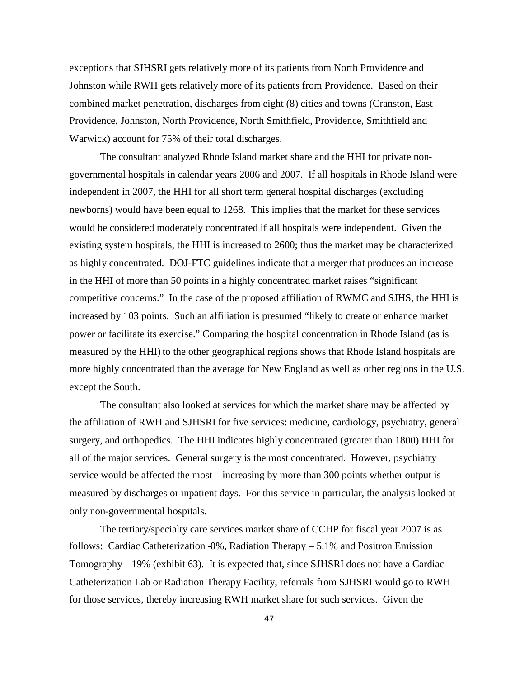exceptions that SJHSRI gets relatively more of its patients from North Providence and Johnston while RWH gets relatively more of its patients from Providence. Based on their combined market penetration, discharges from eight (8) cities and towns (Cranston, East Providence, Johnston, North Providence, North Smithfield, Providence, Smithfield and Warwick) account for 75% of their total discharges.

The consultant analyzed Rhode Island market share and the HHI for private nongovernmental hospitals in calendar years 2006 and 2007. If all hospitals in Rhode Island were independent in 2007, the HHI for all short term general hospital discharges (excluding newborns) would have been equal to 1268. This implies that the market for these services would be considered moderately concentrated if all hospitals were independent. Given the existing system hospitals, the HHI is increased to 2600; thus the market may be characterized as highly concentrated. DOJ-FTC guidelines indicate that a merger that produces an increase in the HHI of more than 50 points in a highly concentrated market raises "significant competitive concerns." In the case of the proposed affiliation of RWMC and SJHS, the HHI is increased by 103 points. Such an affiliation is presumed "likely to create or enhance market power or facilitate its exercise." Comparing the hospital concentration in Rhode Island (as is measured by the HHI) to the other geographical regions shows that Rhode Island hospitals are more highly concentrated than the average for New England as well as other regions in the U.S. except the South.

The consultant also looked at services for which the market share may be affected by the affiliation of RWH and SJHSRI for five services: medicine, cardiology, psychiatry, general surgery, and orthopedics. The HHI indicates highly concentrated (greater than 1800) HHI for all of the major services. General surgery is the most concentrated. However, psychiatry service would be affected the most—increasing by more than 300 points whether output is measured by discharges or inpatient days. For this service in particular, the analysis looked at only non-governmental hospitals.

The tertiary/specialty care services market share of CCHP for fiscal year 2007 is as follows: Cardiac Catheterization -0%, Radiation Therapy – 5.1% and Positron Emission Tomography – 19% (exhibit 63). It is expected that, since SJHSRI does not have a Cardiac Catheterization Lab or Radiation Therapy Facility, referrals from SJHSRI would go to RWH for those services, thereby increasing RWH market share for such services. Given the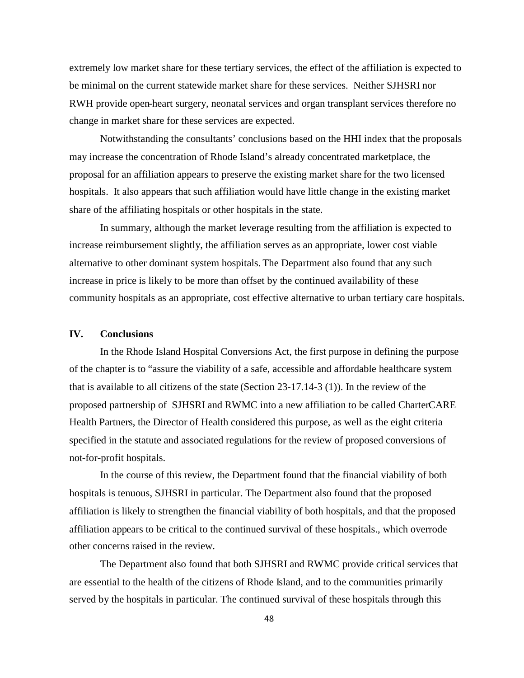extremely low market share for these tertiary services, the effect of the affiliation is expected to be minimal on the current statewide market share for these services. Neither SJHSRI nor RWH provide open-heart surgery, neonatal services and organ transplant services therefore no change in market share for these services are expected.

Notwithstanding the consultants' conclusions based on the HHI index that the proposals may increase the concentration of Rhode Island's already concentrated marketplace, the proposal for an affiliation appears to preserve the existing market share for the two licensed hospitals. It also appears that such affiliation would have little change in the existing market share of the affiliating hospitals or other hospitals in the state.

In summary, although the market leverage resulting from the affiliation is expected to increase reimbursement slightly, the affiliation serves as an appropriate, lower cost viable alternative to other dominant system hospitals. The Department also found that any such increase in price is likely to be more than offset by the continued availability of these community hospitals as an appropriate, cost effective alternative to urban tertiary care hospitals.

# **IV. Conclusions**

In the Rhode Island Hospital Conversions Act, the first purpose in defining the purpose of the chapter is to "assure the viability of a safe, accessible and affordable healthcare system that is available to all citizens of the state (Section 23-17.14-3 (1)). In the review of the proposed partnership of SJHSRI and RWMC into a new affiliation to be called CharterCARE Health Partners, the Director of Health considered this purpose, as well as the eight criteria specified in the statute and associated regulations for the review of proposed conversions of not-for-profit hospitals.

In the course of this review, the Department found that the financial viability of both hospitals is tenuous, SJHSRI in particular. The Department also found that the proposed affiliation is likely to strengthen the financial viability of both hospitals, and that the proposed affiliation appears to be critical to the continued survival of these hospitals., which overrode other concerns raised in the review.

The Department also found that both SJHSRI and RWMC provide critical services that are essential to the health of the citizens of Rhode Island, and to the communities primarily served by the hospitals in particular. The continued survival of these hospitals through this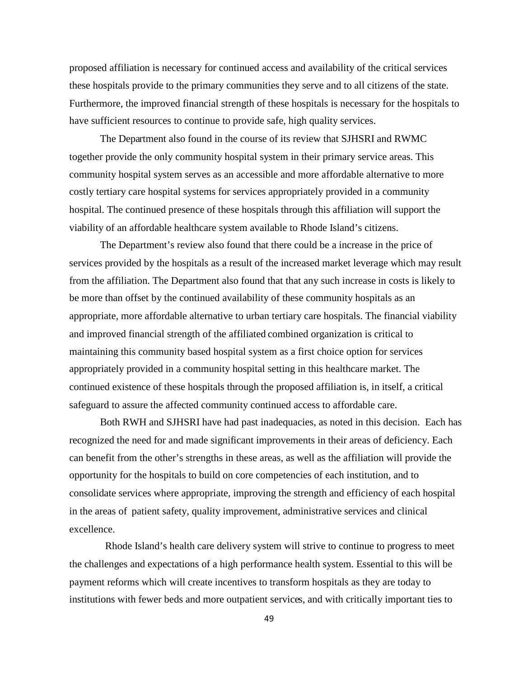proposed affiliation is necessary for continued access and availability of the critical services these hospitals provide to the primary communities they serve and to all citizens of the state. Furthermore, the improved financial strength of these hospitals is necessary for the hospitals to have sufficient resources to continue to provide safe, high quality services.

The Department also found in the course of its review that SJHSRI and RWMC together provide the only community hospital system in their primary service areas. This community hospital system serves as an accessible and more affordable alternative to more costly tertiary care hospital systems for services appropriately provided in a community hospital. The continued presence of these hospitals through this affiliation will support the viability of an affordable healthcare system available to Rhode Island's citizens.

The Department's review also found that there could be a increase in the price of services provided by the hospitals as a result of the increased market leverage which may result from the affiliation. The Department also found that that any such increase in costs is likely to be more than offset by the continued availability of these community hospitals as an appropriate, more affordable alternative to urban tertiary care hospitals. The financial viability and improved financial strength of the affiliated combined organization is critical to maintaining this community based hospital system as a first choice option for services appropriately provided in a community hospital setting in this healthcare market. The continued existence of these hospitals through the proposed affiliation is, in itself, a critical safeguard to assure the affected community continued access to affordable care.

Both RWH and SJHSRI have had past inadequacies, as noted in this decision. Each has recognized the need for and made significant improvements in their areas of deficiency. Each can benefit from the other's strengths in these areas, as well as the affiliation will provide the opportunity for the hospitals to build on core competencies of each institution, and to consolidate services where appropriate, improving the strength and efficiency of each hospital in the areas of patient safety, quality improvement, administrative services and clinical excellence.

Rhode Island's health care delivery system will strive to continue to progress to meet the challenges and expectations of a high performance health system. Essential to this will be payment reforms which will create incentives to transform hospitals as they are today to institutions with fewer beds and more outpatient services, and with critically important ties to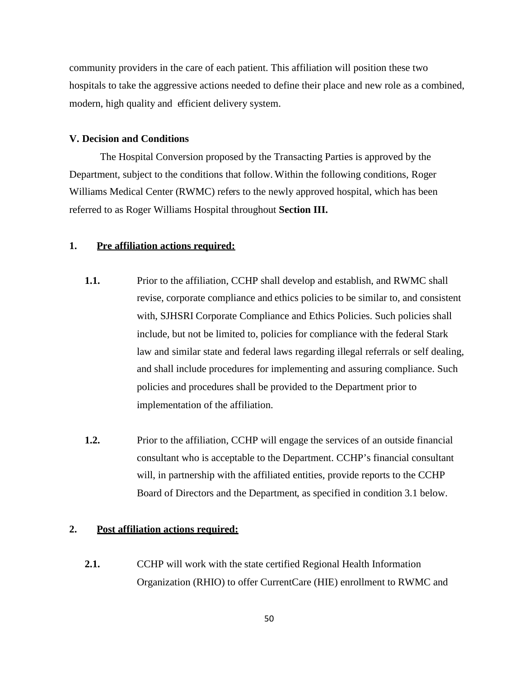community providers in the care of each patient. This affiliation will position these two hospitals to take the aggressive actions needed to define their place and new role as a combined, modern, high quality and efficient delivery system.

### **V. Decision and Conditions**

The Hospital Conversion proposed by the Transacting Parties is approved by the Department, subject to the conditions that follow. Within the following conditions, Roger Williams Medical Center (RWMC) refers to the newly approved hospital, which has been referred to as Roger Williams Hospital throughout **Section III.**

# **1. Pre affiliation actions required:**

- **1.1.** Prior to the affiliation, CCHP shall develop and establish, and RWMC shall revise, corporate compliance and ethics policies to be similar to, and consistent with, SJHSRI Corporate Compliance and Ethics Policies. Such policies shall include, but not be limited to, policies for compliance with the federal Stark law and similar state and federal laws regarding illegal referrals or self dealing, and shall include procedures for implementing and assuring compliance. Such policies and procedures shall be provided to the Department prior to implementation of the affiliation.
- **1.2.** Prior to the affiliation, CCHP will engage the services of an outside financial consultant who is acceptable to the Department. CCHP's financial consultant will, in partnership with the affiliated entities, provide reports to the CCHP Board of Directors and the Department, as specified in condition 3.1 below.

### **2. Post affiliation actions required:**

**2.1.** CCHP will work with the state certified Regional Health Information Organization (RHIO) to offer CurrentCare (HIE) enrollment to RWMC and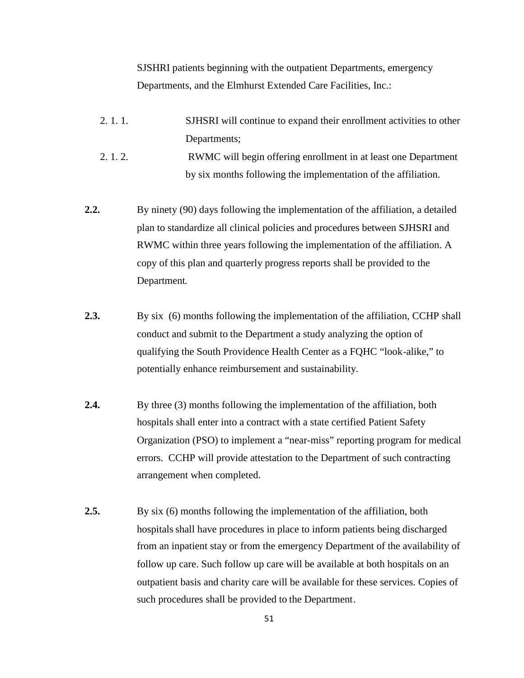SJSHRI patients beginning with the outpatient Departments, emergency Departments, and the Elmhurst Extended Care Facilities, Inc.:

- 2. 1. 1. SJHSRI will continue to expand their enrollment activities to other Departments;
- 2. 1. 2. RWMC will begin offering enrollment in at least one Department by six months following the implementation of the affiliation.
- **2.2.** By ninety (90) days following the implementation of the affiliation, a detailed plan to standardize all clinical policies and procedures between SJHSRI and RWMC within three years following the implementation of the affiliation. A copy of this plan and quarterly progress reports shall be provided to the Department.
- **2.3.** By six (6) months following the implementation of the affiliation, CCHP shall conduct and submit to the Department a study analyzing the option of qualifying the South Providence Health Center as a FQHC "look-alike," to potentially enhance reimbursement and sustainability.
- **2.4.** By three (3) months following the implementation of the affiliation, both hospitals shall enter into a contract with a state certified Patient Safety Organization (PSO) to implement a "near-miss" reporting program for medical errors. CCHP will provide attestation to the Department of such contracting arrangement when completed.
- **2.5.** By six (6) months following the implementation of the affiliation, both hospitals shall have procedures in place to inform patients being discharged from an inpatient stay or from the emergency Department of the availability of follow up care. Such follow up care will be available at both hospitals on an outpatient basis and charity care will be available for these services. Copies of such procedures shall be provided to the Department.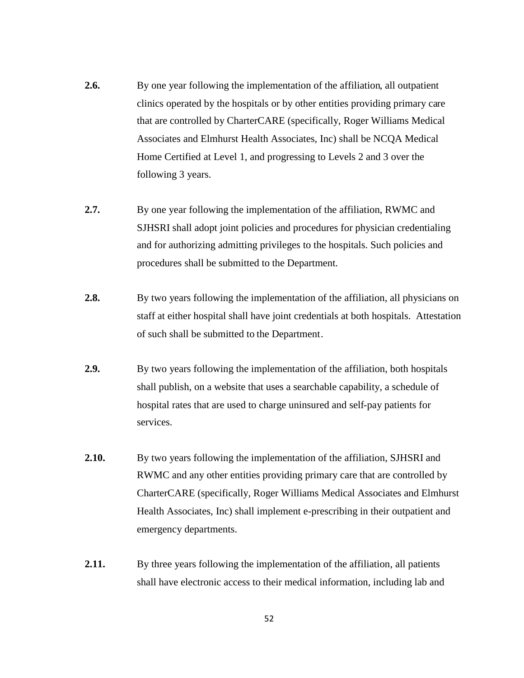- **2.6.** By one year following the implementation of the affiliation, all outpatient clinics operated by the hospitals or by other entities providing primary care that are controlled by CharterCARE (specifically, Roger Williams Medical Associates and Elmhurst Health Associates, Inc) shall be NCQA Medical Home Certified at Level 1, and progressing to Levels 2 and 3 over the following 3 years.
- **2.7.** By one year following the implementation of the affiliation, RWMC and SJHSRI shall adopt joint policies and procedures for physician credentialing and for authorizing admitting privileges to the hospitals. Such policies and procedures shall be submitted to the Department.
- **2.8.** By two years following the implementation of the affiliation, all physicians on staff at either hospital shall have joint credentials at both hospitals. Attestation of such shall be submitted to the Department.
- **2.9.** By two years following the implementation of the affiliation, both hospitals shall publish, on a website that uses a searchable capability, a schedule of hospital rates that are used to charge uninsured and self-pay patients for services.
- **2.10.** By two years following the implementation of the affiliation, SJHSRI and RWMC and any other entities providing primary care that are controlled by CharterCARE (specifically, Roger Williams Medical Associates and Elmhurst Health Associates, Inc) shall implement e-prescribing in their outpatient and emergency departments.
- **2.11.** By three years following the implementation of the affiliation, all patients shall have electronic access to their medical information, including lab and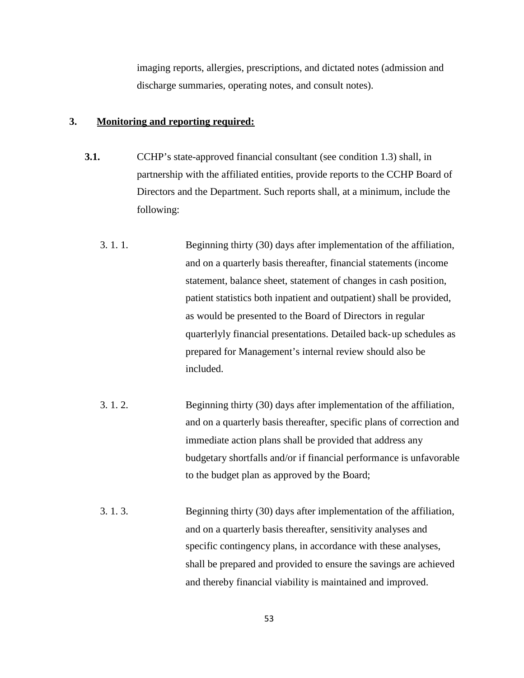imaging reports, allergies, prescriptions, and dictated notes (admission and discharge summaries, operating notes, and consult notes).

### **3. Monitoring and reporting required:**

- **3.1.** CCHP's state-approved financial consultant (see condition 1.3) shall, in partnership with the affiliated entities, provide reports to the CCHP Board of Directors and the Department. Such reports shall, at a minimum, include the following:
	- 3. 1. 1. Beginning thirty (30) days after implementation of the affiliation, and on a quarterly basis thereafter, financial statements (income statement, balance sheet, statement of changes in cash position, patient statistics both inpatient and outpatient) shall be provided, as would be presented to the Board of Directors in regular quarterlyly financial presentations. Detailed back-up schedules as prepared for Management's internal review should also be included.
	- 3. 1. 2. Beginning thirty (30) days after implementation of the affiliation, and on a quarterly basis thereafter, specific plans of correction and immediate action plans shall be provided that address any budgetary shortfalls and/or if financial performance is unfavorable to the budget plan as approved by the Board;
	- 3. 1. 3. Beginning thirty (30) days after implementation of the affiliation, and on a quarterly basis thereafter, sensitivity analyses and specific contingency plans, in accordance with these analyses, shall be prepared and provided to ensure the savings are achieved and thereby financial viability is maintained and improved.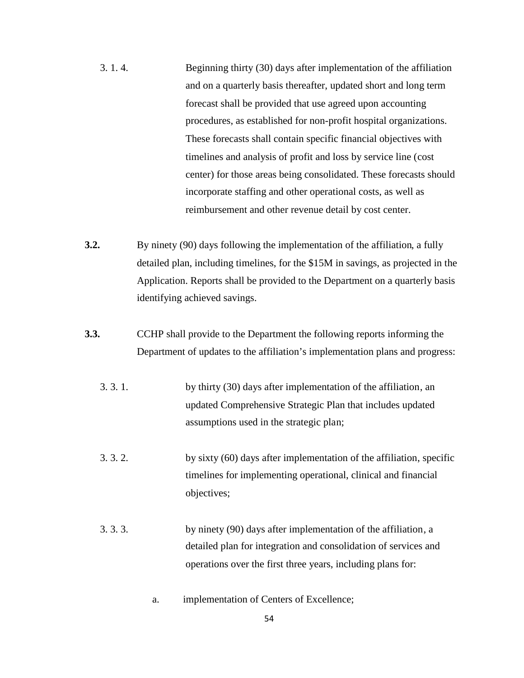- 3. 1. 4. Beginning thirty (30) days after implementation of the affiliation and on a quarterly basis thereafter, updated short and long term forecast shall be provided that use agreed upon accounting procedures, as established for non-profit hospital organizations. These forecasts shall contain specific financial objectives with timelines and analysis of profit and loss by service line (cost center) for those areas being consolidated. These forecasts should incorporate staffing and other operational costs, as well as reimbursement and other revenue detail by cost center.
- **3.2.** By ninety (90) days following the implementation of the affiliation, a fully detailed plan, including timelines, for the \$15M in savings, as projected in the Application. Reports shall be provided to the Department on a quarterly basis identifying achieved savings.
- **3.3.** CCHP shall provide to the Department the following reports informing the Department of updates to the affiliation's implementation plans and progress:
	- 3. 3. 1. by thirty (30) days after implementation of the affiliation, an updated Comprehensive Strategic Plan that includes updated assumptions used in the strategic plan;
	- 3. 3. 2. by sixty (60) days after implementation of the affiliation, specific timelines for implementing operational, clinical and financial objectives;
	- 3. 3. 3. by ninety (90) days after implementation of the affiliation, a detailed plan for integration and consolidation of services and operations over the first three years, including plans for:
		- a. implementation of Centers of Excellence;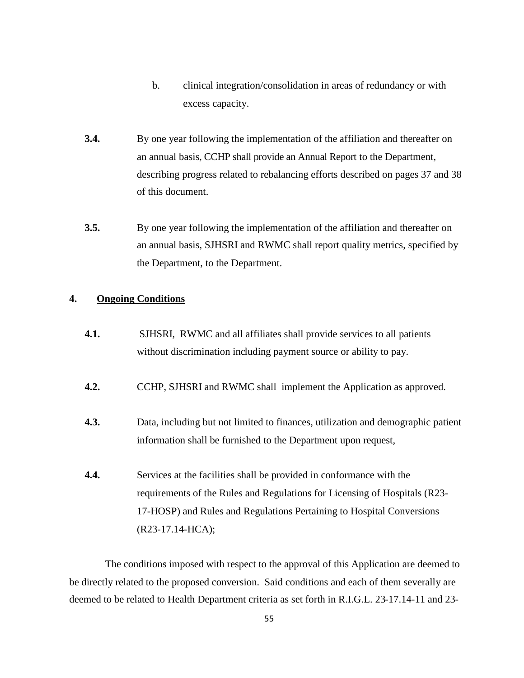- b. clinical integration/consolidation in areas of redundancy or with excess capacity.
- **3.4.** By one year following the implementation of the affiliation and thereafter on an annual basis, CCHP shall provide an Annual Report to the Department, describing progress related to rebalancing efforts described on pages 37 and 38 of this document.
- **3.5.** By one year following the implementation of the affiliation and thereafter on an annual basis, SJHSRI and RWMC shall report quality metrics, specified by the Department, to the Department.

# **4. Ongoing Conditions**

- **4.1.** SJHSRI, RWMC and all affiliates shall provide services to all patients without discrimination including payment source or ability to pay.
- **4.2.** CCHP, SJHSRI and RWMC shall implement the Application as approved.
- **4.3.** Data, including but not limited to finances, utilization and demographic patient information shall be furnished to the Department upon request,
- **4.4.** Services at the facilities shall be provided in conformance with the requirements of the Rules and Regulations for Licensing of Hospitals (R23- 17-HOSP) and Rules and Regulations Pertaining to Hospital Conversions (R23-17.14-HCA);

The conditions imposed with respect to the approval of this Application are deemed to be directly related to the proposed conversion. Said conditions and each of them severally are deemed to be related to Health Department criteria as set forth in R.I.G.L. 23-17.14-11 and 23-